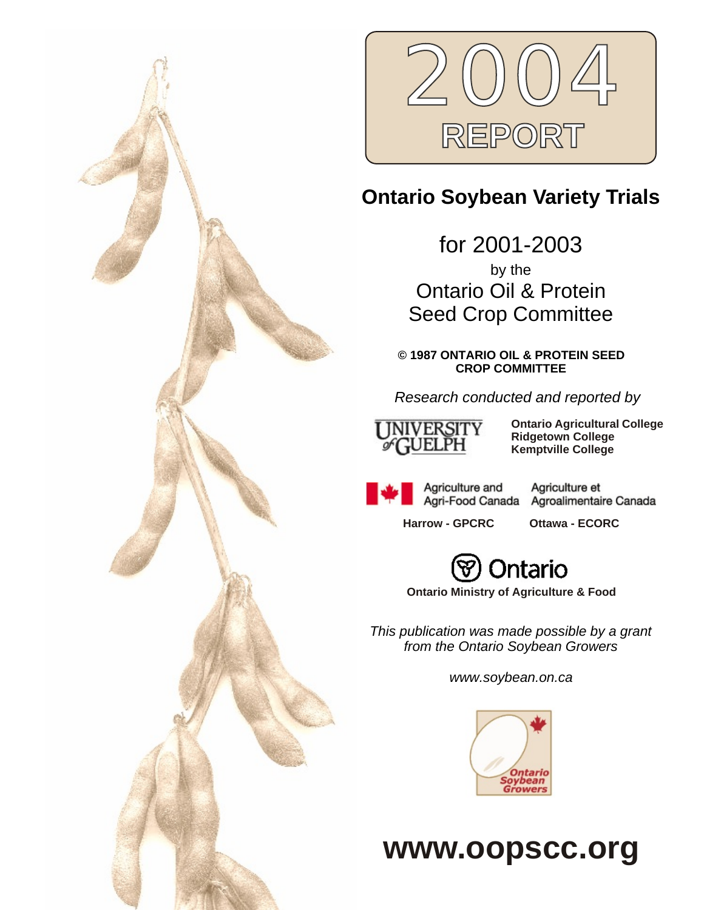



# **Ontario Soybean Variety Trials**

for 2001-2003 by the Ontario Oil & Protein Seed Crop Committee

**© 1987 ONTARIO OIL & PROTEIN SEED CROP COMMITTEE**

*Research conducted and reported by*



**Ontario Agricultural College Ridgetown College Kemptville College**

Agriculture and Agri-Food Canada

Agriculture et Agroalimentaire Canada

**Harrow - GPCRC Ottawa - ECORC**



**Ontario Ministry of Agriculture & Food**

*This publication was made possible by a grant from the Ontario Soybean Growers*

*www.soybean.on.ca*



**www.oopscc.org**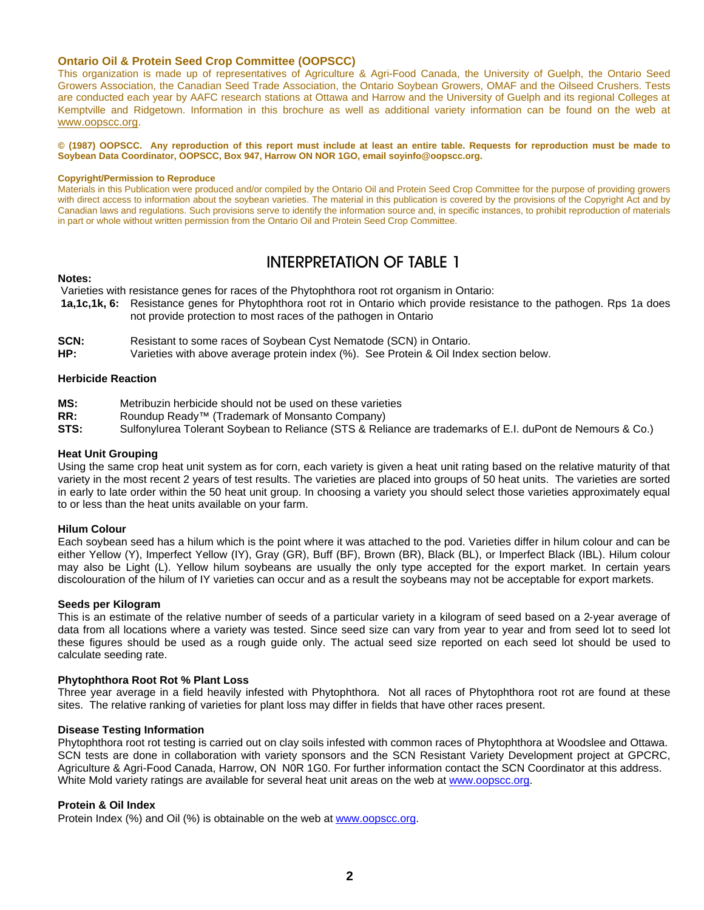### **Ontario Oil & Protein Seed Crop Committee (OOPSCC)**

This organization is made up of representatives of Agriculture & Agri-Food Canada, the University of Guelph, the Ontario Seed Growers Association, the Canadian Seed Trade Association, the Ontario Soybean Growers, OMAF and the Oilseed Crushers. Tests are conducted each year by AAFC research stations at Ottawa and Harrow and the University of Guelph and its regional Colleges at Kemptville and Ridgetown. Information in this brochure as well as additional variety information can be found on the web at www.oopscc.org.

**© (1987) OOPSCC. Any reproduction of this report must include at least an entire table. Requests for reproduction must be made to Soybean Data Coordinator, OOPSCC, Box 947, Harrow ON NOR 1GO, email soyinfo@oopscc.org.**

#### **Copyright/Permission to Reproduce**

Materials in this Publication were produced and/or compiled by the Ontario Oil and Protein Seed Crop Committee for the purpose of providing growers with direct access to information about the soybean varieties. The material in this publication is covered by the provisions of the Copyright Act and by Canadian laws and regulations. Such provisions serve to identify the information source and, in specific instances, to prohibit reproduction of materials in part or whole without written permission from the Ontario Oil and Protein Seed Crop Committee.

# INTERPRETATION OF TABLE 1

### **Notes:**

Varieties with resistance genes for races of the Phytophthora root rot organism in Ontario:

- **1a,1c,1k, 6:** Resistance genes for Phytophthora root rot in Ontario which provide resistance to the pathogen. Rps 1a does not provide protection to most races of the pathogen in Ontario
- **SCN:** Resistant to some races of Soybean Cyst Nematode (SCN) in Ontario.
- **HP:** Varieties with above average protein index (%). See Protein & Oil Index section below.

### **Herbicide Reaction**

- **MS:** Metribuzin herbicide should not be used on these varieties
- **RR:** Roundup Ready<sup>™</sup> (Trademark of Monsanto Company)
- **STS:** Sulfonylurea Tolerant Soybean to Reliance (STS & Reliance are trademarks of E.I. duPont de Nemours & Co.)

### **Heat Unit Grouping**

Using the same crop heat unit system as for corn, each variety is given a heat unit rating based on the relative maturity of that variety in the most recent 2 years of test results. The varieties are placed into groups of 50 heat units. The varieties are sorted in early to late order within the 50 heat unit group. In choosing a variety you should select those varieties approximately equal to or less than the heat units available on your farm.

### **Hilum Colour**

Each soybean seed has a hilum which is the point where it was attached to the pod. Varieties differ in hilum colour and can be either Yellow (Y), Imperfect Yellow (IY), Gray (GR), Buff (BF), Brown (BR), Black (BL), or Imperfect Black (IBL). Hilum colour may also be Light (L). Yellow hilum soybeans are usually the only type accepted for the export market. In certain years discolouration of the hilum of IY varieties can occur and as a result the soybeans may not be acceptable for export markets.

### **Seeds per Kilogram**

This is an estimate of the relative number of seeds of a particular variety in a kilogram of seed based on a 2-year average of data from all locations where a variety was tested. Since seed size can vary from year to year and from seed lot to seed lot these figures should be used as a rough guide only. The actual seed size reported on each seed lot should be used to calculate seeding rate.

### **Phytophthora Root Rot % Plant Loss**

Three year average in a field heavily infested with Phytophthora. Not all races of Phytophthora root rot are found at these sites. The relative ranking of varieties for plant loss may differ in fields that have other races present.

### **Disease Testing Information**

Phytophthora root rot testing is carried out on clay soils infested with common races of Phytophthora at Woodslee and Ottawa. SCN tests are done in collaboration with variety sponsors and the SCN Resistant Variety Development project at GPCRC, Agriculture & Agri-Food Canada, Harrow, ON N0R 1G0. For further information contact the SCN Coordinator at this address. White Mold variety ratings are available for several heat unit areas on the web at www.oopscc.org.

### **Protein & Oil Index**

Protein Index (%) and Oil (%) is obtainable on the web at www.oopscc.org.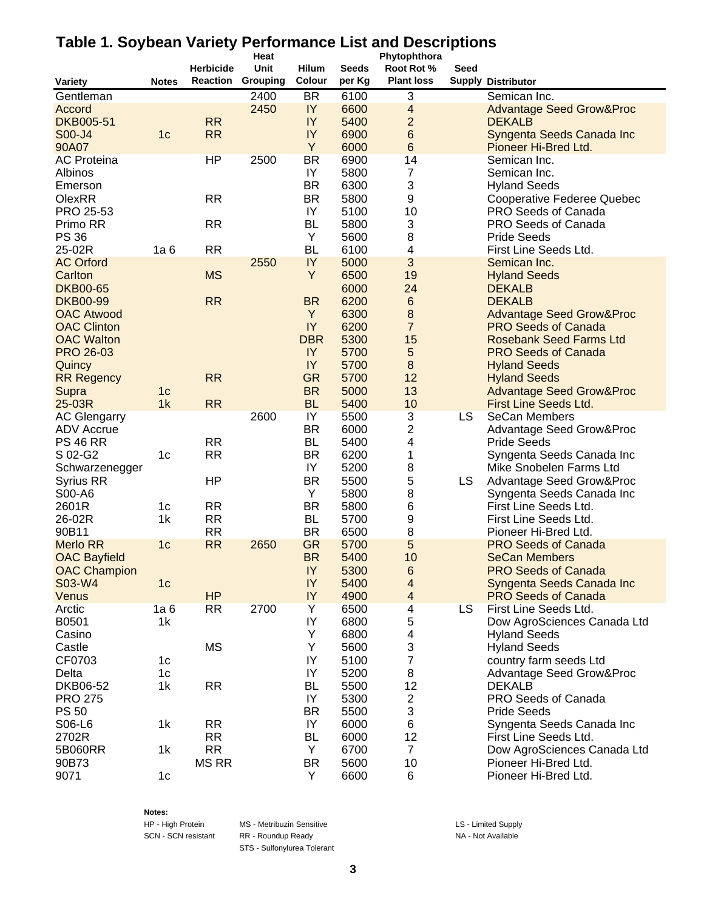# **Table 1. Soybean Variety Performance List and Descriptions**

|                     |                |                  | Heat     |                |              | Phytophthora              |      |                                                     |  |  |
|---------------------|----------------|------------------|----------|----------------|--------------|---------------------------|------|-----------------------------------------------------|--|--|
|                     |                | <b>Herbicide</b> | Unit     | Hilum          | <b>Seeds</b> | Root Rot %                | Seed |                                                     |  |  |
| <b>Variety</b>      | <b>Notes</b>   | Reaction         | Grouping | Colour         | per Kg       | <b>Plant loss</b>         |      | <b>Supply Distributor</b>                           |  |  |
| Gentleman           |                |                  | 2400     | <b>BR</b>      | 6100         | $\ensuremath{\mathsf{3}}$ |      | Semican Inc.                                        |  |  |
| Accord              |                |                  | 2450     | IY             | 6600         | $\overline{\mathbf{4}}$   |      | <b>Advantage Seed Grow&amp;Proc</b>                 |  |  |
| <b>DKB005-51</b>    |                | <b>RR</b>        |          | IY             | 5400         | $\overline{2}$            |      | <b>DEKALB</b>                                       |  |  |
| S00-J4              | 1 <sub>c</sub> | <b>RR</b>        |          | IY             | 6900         | $6\phantom{1}6$           |      | Syngenta Seeds Canada Inc                           |  |  |
| 90A07               |                |                  |          | Y              | 6000         | $6\phantom{1}$            |      | Pioneer Hi-Bred Ltd.                                |  |  |
| <b>AC Proteina</b>  |                | HP               | 2500     | <b>BR</b>      | 6900         | 14                        |      | Semican Inc.                                        |  |  |
| Albinos             |                |                  |          | IY             | 5800         | $\overline{7}$            |      | Semican Inc.                                        |  |  |
| Emerson             |                |                  |          | <b>BR</b>      | 6300         | 3                         |      | <b>Hyland Seeds</b>                                 |  |  |
| <b>OlexRR</b>       |                | <b>RR</b>        |          | <b>BR</b>      | 5800         | 9                         |      | <b>Cooperative Federee Quebec</b>                   |  |  |
| PRO 25-53           |                |                  |          | IY             | 5100         | 10                        |      | PRO Seeds of Canada                                 |  |  |
| Primo RR            |                | <b>RR</b>        |          | <b>BL</b>      | 5800         | 3                         |      | PRO Seeds of Canada                                 |  |  |
| <b>PS 36</b>        |                |                  |          | Υ              | 5600         | 8                         |      | <b>Pride Seeds</b>                                  |  |  |
| 25-02R              | 1a6            | <b>RR</b>        |          | <b>BL</b>      | 6100         | 4                         |      | First Line Seeds Ltd.                               |  |  |
| <b>AC Orford</b>    |                |                  | 2550     | IY             | 5000         | 3                         |      | Semican Inc.                                        |  |  |
| Carlton             |                | <b>MS</b>        |          | Y              | 6500         | 19                        |      | <b>Hyland Seeds</b>                                 |  |  |
| <b>DKB00-65</b>     |                |                  |          |                | 6000         | 24                        |      | <b>DEKALB</b>                                       |  |  |
| <b>DKB00-99</b>     |                | <b>RR</b>        |          | <b>BR</b>      | 6200         | $\,6$                     |      | <b>DEKALB</b>                                       |  |  |
| <b>OAC Atwood</b>   |                |                  |          | Y              | 6300         | 8                         |      | <b>Advantage Seed Grow&amp;Proc</b>                 |  |  |
| <b>OAC Clinton</b>  |                |                  |          | IY             | 6200         | $\overline{7}$            |      | <b>PRO Seeds of Canada</b>                          |  |  |
| <b>OAC Walton</b>   |                |                  |          | <b>DBR</b>     | 5300         | 15                        |      | <b>Rosebank Seed Farms Ltd</b>                      |  |  |
| <b>PRO 26-03</b>    |                |                  |          | IY             | 5700         | $\sqrt{5}$                |      | <b>PRO Seeds of Canada</b>                          |  |  |
| Quincy              |                |                  |          | IY             | 5700         | $\bf 8$                   |      | <b>Hyland Seeds</b>                                 |  |  |
| <b>RR Regency</b>   |                | <b>RR</b>        |          | <b>GR</b>      | 5700         | 12                        |      | <b>Hyland Seeds</b>                                 |  |  |
| Supra               | 1 <sub>c</sub> |                  |          | <b>BR</b>      | 5000         | 13                        |      | <b>Advantage Seed Grow&amp;Proc</b>                 |  |  |
| 25-03R              | 1k             | <b>RR</b>        |          | <b>BL</b>      | 5400         | 10                        |      | First Line Seeds Ltd.                               |  |  |
| <b>AC Glengarry</b> |                |                  | 2600     | $\overline{Y}$ | 5500         | 3                         | LS   | SeCan Members                                       |  |  |
| <b>ADV Accrue</b>   |                |                  |          | <b>BR</b>      | 6000         | 2                         |      | <b>Advantage Seed Grow&amp;Proc</b>                 |  |  |
| <b>PS 46 RR</b>     |                | <b>RR</b>        |          | <b>BL</b>      | 5400         | 4                         |      | <b>Pride Seeds</b>                                  |  |  |
| S 02-G2             | 1 <sub>c</sub> | <b>RR</b>        |          | <b>BR</b>      | 6200         | 1                         |      | Syngenta Seeds Canada Inc                           |  |  |
| Schwarzenegger      |                |                  |          | IY             | 5200         | 8                         |      | Mike Snobelen Farms Ltd                             |  |  |
| <b>Syrius RR</b>    |                | HP               |          | <b>BR</b>      | 5500         | 5                         | LS   | <b>Advantage Seed Grow&amp;Proc</b>                 |  |  |
| S00-A6              |                |                  |          | Y              | 5800         | 8                         |      | Syngenta Seeds Canada Inc                           |  |  |
| 2601R               | 1c             | <b>RR</b>        |          | <b>BR</b>      | 5800         | $\,6$                     |      | First Line Seeds Ltd.                               |  |  |
| 26-02R              | 1k             | <b>RR</b>        |          | <b>BL</b>      | 5700         | 9                         |      | First Line Seeds Ltd.                               |  |  |
| 90B11               |                | <b>RR</b>        |          | <b>BR</b>      | 6500         | 8                         |      | Pioneer Hi-Bred Ltd.                                |  |  |
| <b>Merlo RR</b>     | 1 <sub>c</sub> | <b>RR</b>        | 2650     | <b>GR</b>      | 5700         | 5                         |      | <b>PRO Seeds of Canada</b>                          |  |  |
| <b>OAC Bayfield</b> |                |                  |          | <b>BR</b>      | 5400         | 10                        |      | <b>SeCan Members</b>                                |  |  |
| <b>OAC Champion</b> |                |                  |          | IY             | 5300         | 6                         |      | <b>PRO Seeds of Canada</b>                          |  |  |
| S03-W4              | 1c             |                  |          | IY             | 5400         | 4                         |      | Syngenta Seeds Canada Inc                           |  |  |
| Venus               |                | <b>HP</b>        |          | IY             | 4900         | $\overline{\mathbf{4}}$   |      | <b>PRO Seeds of Canada</b>                          |  |  |
| Arctic              | 1a6            | RR               | 2700     | Υ              | 6500         | 4                         | LS.  | First Line Seeds Ltd.                               |  |  |
| B0501               | 1k             |                  |          | IY             | 6800         | 5                         |      | Dow AgroSciences Canada Ltd                         |  |  |
| Casino              |                |                  |          | Y              | 6800         | 4                         |      | <b>Hyland Seeds</b>                                 |  |  |
| Castle              |                | <b>MS</b>        |          | Y              | 5600         | 3                         |      | <b>Hyland Seeds</b>                                 |  |  |
| CF0703              | 1c             |                  |          | IY             | 5100         | $\overline{7}$            |      | country farm seeds Ltd                              |  |  |
| Delta               | 1c             |                  |          | IY             | 5200         | 8                         |      | <b>Advantage Seed Grow&amp;Proc</b>                 |  |  |
| DKB06-52            | 1k             | <b>RR</b>        |          | <b>BL</b>      | 5500         | 12                        |      | <b>DEKALB</b>                                       |  |  |
| <b>PRO 275</b>      |                |                  |          | IY             | 5300         | $\boldsymbol{2}$          |      | PRO Seeds of Canada                                 |  |  |
| <b>PS 50</b>        |                |                  |          | <b>BR</b>      | 5500         | 3                         |      | <b>Pride Seeds</b>                                  |  |  |
| S06-L6              | 1k             | <b>RR</b>        |          | IY             | 6000         | 6                         |      | Syngenta Seeds Canada Inc                           |  |  |
| 2702R               |                | <b>RR</b>        |          | BL             | 6000         | 12                        |      | First Line Seeds Ltd.                               |  |  |
| 5B060RR             | 1k             | <b>RR</b>        |          | Y              | 6700         | $\overline{7}$            |      |                                                     |  |  |
|                     |                |                  |          |                |              |                           |      | Dow AgroSciences Canada Ltd<br>Pioneer Hi-Bred Ltd. |  |  |
| 90B73               |                | <b>MS RR</b>     |          | <b>BR</b><br>Y | 5600         | 10                        |      |                                                     |  |  |
| 9071                | 1 <sub>c</sub> |                  |          |                | 6600         | 6                         |      | Pioneer Hi-Bred Ltd.                                |  |  |

**Notes:**

HP - High Protein MS - Metribuzin Sensitive LS - Limited Supply SCN - SCN resistant RR - Roundup Ready NA - Not Available STS - Sulfonylurea Tolerant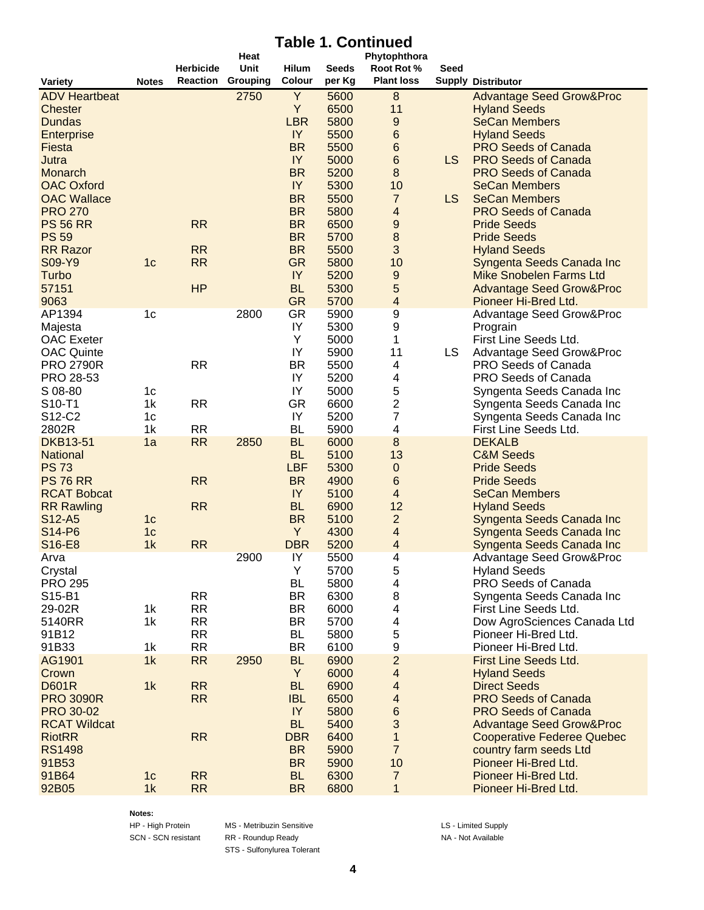# **Table 1. Continued**

|                                |                |                  | Heat                     |                         |              | Phytophthora            |      |                                     |
|--------------------------------|----------------|------------------|--------------------------|-------------------------|--------------|-------------------------|------|-------------------------------------|
|                                |                | <b>Herbicide</b> | Unit                     | <b>Hilum</b>            | <b>Seeds</b> | Root Rot %              | Seed |                                     |
| <b>Variety</b>                 | <b>Notes</b>   |                  | <b>Reaction Grouping</b> | Colour                  | per Kg       | <b>Plant loss</b>       |      | <b>Supply Distributor</b>           |
| <b>ADV Heartbeat</b>           |                |                  | 2750                     | Y                       | 5600         | $\boldsymbol{8}$        |      | <b>Advantage Seed Grow&amp;Proc</b> |
| Chester                        |                |                  |                          | Y                       | 6500         | 11                      |      | <b>Hyland Seeds</b>                 |
| <b>Dundas</b>                  |                |                  |                          | <b>LBR</b>              | 5800         | 9                       |      | <b>SeCan Members</b>                |
| <b>Enterprise</b>              |                |                  |                          | IY                      | 5500         | $6\phantom{.}6$         |      | <b>Hyland Seeds</b>                 |
| Fiesta                         |                |                  |                          | <b>BR</b>               | 5500         | $6\phantom{.}6$         |      | <b>PRO Seeds of Canada</b>          |
| Jutra                          |                |                  |                          | IY                      | 5000         | $6\phantom{.}6$         | LS   | <b>PRO Seeds of Canada</b>          |
| Monarch                        |                |                  |                          | <b>BR</b>               | 5200         | 8                       |      | <b>PRO Seeds of Canada</b>          |
| <b>OAC Oxford</b>              |                |                  |                          | IY                      | 5300         | 10                      |      | <b>SeCan Members</b>                |
| <b>OAC Wallace</b>             |                |                  |                          | <b>BR</b>               | 5500         | $\overline{7}$          | LS   | <b>SeCan Members</b>                |
| <b>PRO 270</b>                 |                |                  |                          | <b>BR</b>               | 5800         | $\overline{\mathbf{4}}$ |      | <b>PRO Seeds of Canada</b>          |
| <b>PS 56 RR</b>                |                | <b>RR</b>        |                          | <b>BR</b>               | 6500         | 9                       |      | <b>Pride Seeds</b>                  |
| <b>PS 59</b>                   |                |                  |                          | <b>BR</b>               | 5700         | 8                       |      | <b>Pride Seeds</b>                  |
| <b>RR Razor</b>                |                | <b>RR</b>        |                          | <b>BR</b>               | 5500         | 3                       |      | <b>Hyland Seeds</b>                 |
| S09-Y9                         | 1 <sub>c</sub> | <b>RR</b>        |                          | <b>GR</b>               | 5800         | 10                      |      | Syngenta Seeds Canada Inc           |
| Turbo                          |                |                  |                          | IY                      | 5200         | 9                       |      | <b>Mike Snobelen Farms Ltd</b>      |
| 57151                          |                | HP               |                          | <b>BL</b>               | 5300         | 5                       |      | <b>Advantage Seed Grow&amp;Proc</b> |
| 9063                           |                |                  |                          | <b>GR</b>               | 5700         | $\overline{\mathbf{4}}$ |      | Pioneer Hi-Bred Ltd.                |
| AP1394                         | 1c             |                  | 2800                     | <b>GR</b>               | 5900         | 9                       |      | <b>Advantage Seed Grow&amp;Proc</b> |
| Majesta                        |                |                  |                          | IY                      | 5300         | 9                       |      | Prograin                            |
| <b>OAC</b> Exeter              |                |                  |                          | Υ                       | 5000         | 1                       |      | First Line Seeds Ltd.               |
| <b>OAC Quinte</b>              |                |                  |                          | IY                      | 5900         | 11                      | LS   | Advantage Seed Grow&Proc            |
| <b>PRO 2790R</b>               |                | <b>RR</b>        |                          | <b>BR</b>               | 5500         | 4                       |      | <b>PRO Seeds of Canada</b>          |
| PRO 28-53                      |                |                  |                          | IY                      | 5200         | 4                       |      | PRO Seeds of Canada                 |
| S 08-80                        | 1 <sub>c</sub> |                  |                          | IY                      | 5000         | 5                       |      | Syngenta Seeds Canada Inc           |
| S10-T1                         | 1k             | <b>RR</b>        |                          | <b>GR</b>               | 6600         | $\overline{\mathbf{c}}$ |      | Syngenta Seeds Canada Inc           |
| S12-C2                         | 1c             |                  |                          | IY                      | 5200         | 7                       |      | Syngenta Seeds Canada Inc           |
| 2802R                          | 1k             | <b>RR</b>        |                          | <b>BL</b>               | 5900         | 4                       |      | First Line Seeds Ltd.               |
| <b>DKB13-51</b>                |                | <b>RR</b>        |                          | <b>BL</b>               | 6000         | 8                       |      | <b>DEKALB</b>                       |
|                                | 1a             |                  | 2850                     |                         |              | 13                      |      |                                     |
| <b>National</b><br><b>PS73</b> |                |                  |                          | <b>BL</b><br><b>LBF</b> | 5100         |                         |      | <b>C&amp;M Seeds</b>                |
|                                |                |                  |                          |                         | 5300         | 0                       |      | <b>Pride Seeds</b>                  |
| <b>PS 76 RR</b>                |                | <b>RR</b>        |                          | <b>BR</b>               | 4900         | 6                       |      | <b>Pride Seeds</b>                  |
| <b>RCAT Bobcat</b>             |                |                  |                          | IY                      | 5100         | 4                       |      | <b>SeCan Members</b>                |
| <b>RR Rawling</b>              |                | <b>RR</b>        |                          | <b>BL</b>               | 6900         | 12                      |      | <b>Hyland Seeds</b>                 |
| S12-A5                         | 1 <sub>c</sub> |                  |                          | <b>BR</b>               | 5100         | $\overline{c}$          |      | Syngenta Seeds Canada Inc           |
| S14-P6                         | 1 <sub>c</sub> |                  |                          | Y                       | 4300         | 4                       |      | Syngenta Seeds Canada Inc           |
| S16-E8                         | 1k             | <b>RR</b>        |                          | <b>DBR</b>              | 5200         | 4                       |      | Syngenta Seeds Canada Inc           |
| Arva                           |                |                  | 2900                     | IY                      | 5500         | 4                       |      | <b>Advantage Seed Grow&amp;Proc</b> |
| Crystal                        |                |                  |                          | Υ                       | 5700         | 5                       |      | <b>Hyland Seeds</b>                 |
| <b>PRO 295</b>                 |                |                  |                          | <b>BL</b>               | 5800         | 4                       |      | PRO Seeds of Canada                 |
| S15-B1                         |                | <b>RR</b>        |                          | <b>BR</b>               | 6300         | 8                       |      | Syngenta Seeds Canada Inc           |
| 29-02R                         | 1k             | RR               |                          | <b>BR</b>               | 6000         | 4                       |      | First Line Seeds Ltd.               |
| 5140RR                         | 1k             | <b>RR</b>        |                          | <b>BR</b>               | 5700         | 4                       |      | Dow AgroSciences Canada Ltd         |
| 91B12                          |                | <b>RR</b>        |                          | BL                      | 5800         | 5                       |      | Pioneer Hi-Bred Ltd.                |
| 91B33                          | 1 <sub>k</sub> | <b>RR</b>        |                          | <b>BR</b>               | 6100         | 9                       |      | Pioneer Hi-Bred Ltd.                |
| AG1901                         | 1k             | <b>RR</b>        | 2950                     | <b>BL</b>               | 6900         | $\overline{a}$          |      | <b>First Line Seeds Ltd.</b>        |
| Crown                          |                |                  |                          | Y                       | 6000         | $\overline{\mathbf{4}}$ |      | <b>Hyland Seeds</b>                 |
| <b>D601R</b>                   | 1k             | <b>RR</b>        |                          | <b>BL</b>               | 6900         | 4                       |      | <b>Direct Seeds</b>                 |
| <b>PRO 3090R</b>               |                | <b>RR</b>        |                          | <b>IBL</b>              | 6500         | $\overline{\mathbf{4}}$ |      | <b>PRO Seeds of Canada</b>          |
| <b>PRO 30-02</b>               |                |                  |                          | IY                      | 5800         | 6                       |      | <b>PRO Seeds of Canada</b>          |
| <b>RCAT Wildcat</b>            |                |                  |                          | <b>BL</b>               | 5400         | 3                       |      | <b>Advantage Seed Grow&amp;Proc</b> |
| <b>RiotRR</b>                  |                | <b>RR</b>        |                          | <b>DBR</b>              | 6400         | 1                       |      | <b>Cooperative Federee Quebec</b>   |
| <b>RS1498</b>                  |                |                  |                          | <b>BR</b>               | 5900         | $\overline{7}$          |      | country farm seeds Ltd              |
| 91B53                          |                |                  |                          | <b>BR</b>               | 5900         | 10                      |      | Pioneer Hi-Bred Ltd.                |
| 91B64                          | 1c             | <b>RR</b>        |                          | <b>BL</b>               | 6300         | $\overline{7}$          |      | Pioneer Hi-Bred Ltd.                |
| 92B05                          | 1k             | <b>RR</b>        |                          | <b>BR</b>               | 6800         | $\mathbf{1}$            |      | Pioneer Hi-Bred Ltd.                |
|                                |                |                  |                          |                         |              |                         |      |                                     |

**Notes:**

HP - High Protein MS - Metribuzin Sensitive LS - Limited Supply SCN - SCN resistant RR - Roundup Ready NA - Not Available STS - Sulfonylurea Tolerant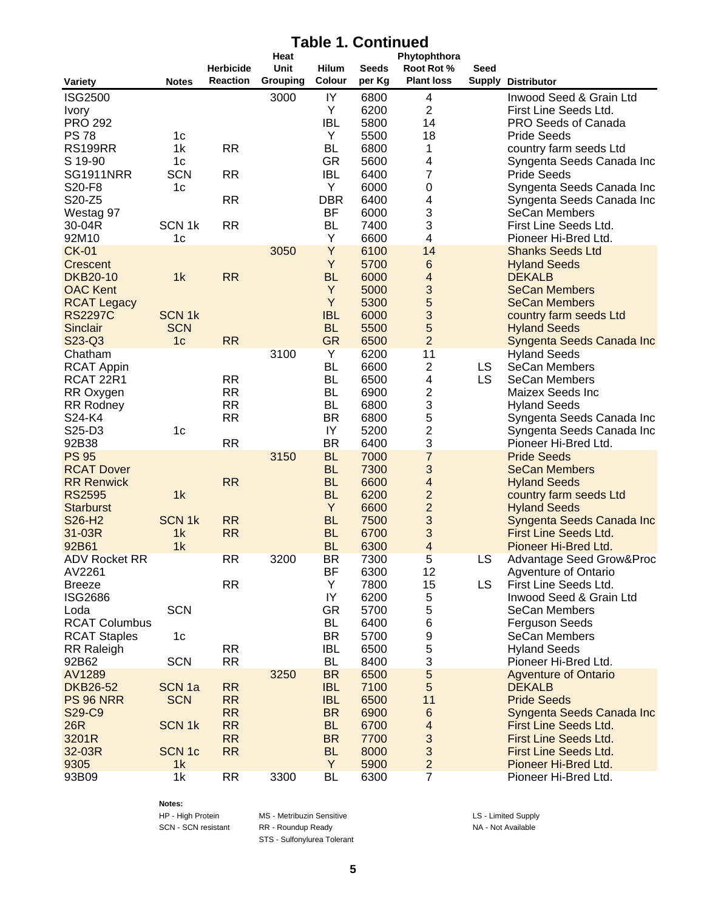# **Table 1. Continued**

|                                       |                              | <b>Herbicide</b> | Heat<br>Unit | <b>Hilum</b>            | <b>Seeds</b> | Phytophthora<br>Root Rot %   | Seed      |                                                      |
|---------------------------------------|------------------------------|------------------|--------------|-------------------------|--------------|------------------------------|-----------|------------------------------------------------------|
| <b>Variety</b>                        | <b>Notes</b>                 | <b>Reaction</b>  | Grouping     | Colour                  | per Kg       | <b>Plant loss</b>            |           | <b>Supply Distributor</b>                            |
| <b>ISG2500</b>                        |                              |                  | 3000         | IY                      | 6800         | 4                            |           | Inwood Seed & Grain Ltd                              |
| <b>Ivory</b>                          |                              |                  |              | Y                       | 6200         | $\overline{c}$               |           | First Line Seeds Ltd.                                |
| <b>PRO 292</b>                        |                              |                  |              | <b>IBL</b>              | 5800         | 14                           |           | PRO Seeds of Canada                                  |
| <b>PS78</b>                           | 1c                           |                  |              | Υ                       | 5500         | 18                           |           | <b>Pride Seeds</b>                                   |
| <b>RS199RR</b>                        | 1k                           | <b>RR</b>        |              | <b>BL</b>               | 6800         | 1                            |           | country farm seeds Ltd                               |
| S 19-90<br><b>SG1911NRR</b>           | 1 <sub>c</sub><br><b>SCN</b> | <b>RR</b>        |              | <b>GR</b><br><b>IBL</b> | 5600<br>6400 | $\overline{\mathbf{4}}$<br>7 |           | Syngenta Seeds Canada Inc<br><b>Pride Seeds</b>      |
| S20-F8                                | 1 <sub>c</sub>               |                  |              | Y                       | 6000         | $\pmb{0}$                    |           | Syngenta Seeds Canada Inc                            |
| S20-Z5                                |                              | <b>RR</b>        |              | <b>DBR</b>              | 6400         | 4                            |           | Syngenta Seeds Canada Inc                            |
| Westag 97                             |                              |                  |              | <b>BF</b>               | 6000         | 3                            |           | SeCan Members                                        |
| 30-04R                                | SCN <sub>1k</sub>            | <b>RR</b>        |              | <b>BL</b>               | 7400         | 3                            |           | First Line Seeds Ltd.                                |
| 92M10                                 | 1 <sub>c</sub>               |                  |              | Υ                       | 6600         | $\overline{\mathbf{4}}$      |           | Pioneer Hi-Bred Ltd.                                 |
| <b>CK-01</b>                          |                              |                  | 3050         | Y                       | 6100         | 14                           |           | <b>Shanks Seeds Ltd</b>                              |
| Crescent                              |                              |                  |              | Y                       | 5700         | $6\phantom{1}6$              |           | <b>Hyland Seeds</b>                                  |
| <b>DKB20-10</b>                       | 1k                           | <b>RR</b>        |              | <b>BL</b>               | 6000         | 4                            |           | <b>DEKALB</b>                                        |
| <b>OAC Kent</b>                       |                              |                  |              | Y                       | 5000         | 3                            |           | <b>SeCan Members</b>                                 |
| <b>RCAT Legacy</b>                    |                              |                  |              | Y                       | 5300         | 5                            |           | <b>SeCan Members</b>                                 |
| <b>RS2297C</b>                        | <b>SCN1k</b>                 |                  |              | <b>IBL</b>              | 6000         | 3                            |           | country farm seeds Ltd                               |
| Sinclair                              | <b>SCN</b>                   |                  |              | <b>BL</b>               | 5500         | 5                            |           | <b>Hyland Seeds</b>                                  |
| S23-Q3                                | 1 <sub>c</sub>               | <b>RR</b>        |              | <b>GR</b>               | 6500         | $\overline{2}$               |           | Syngenta Seeds Canada Inc                            |
| Chatham                               |                              |                  | 3100         | Υ<br><b>BL</b>          | 6200         | 11                           | <b>LS</b> | <b>Hyland Seeds</b><br><b>SeCan Members</b>          |
| <b>RCAT Appin</b><br><b>RCAT 22R1</b> |                              | <b>RR</b>        |              | <b>BL</b>               | 6600<br>6500 | 2<br>4                       | <b>LS</b> | <b>SeCan Members</b>                                 |
| RR Oxygen                             |                              | <b>RR</b>        |              | <b>BL</b>               | 6900         | $\overline{\mathbf{c}}$      |           | Maizex Seeds Inc                                     |
| <b>RR Rodney</b>                      |                              | <b>RR</b>        |              | <b>BL</b>               | 6800         | 3                            |           | <b>Hyland Seeds</b>                                  |
| S24-K4                                |                              | <b>RR</b>        |              | <b>BR</b>               | 6800         | 5                            |           | Syngenta Seeds Canada Inc                            |
| S25-D3                                | 1 <sub>c</sub>               |                  |              | IY                      | 5200         | $\overline{c}$               |           | Syngenta Seeds Canada Inc                            |
| 92B38                                 |                              | <b>RR</b>        |              | <b>BR</b>               | 6400         | 3                            |           | Pioneer Hi-Bred Ltd.                                 |
| <b>PS 95</b>                          |                              |                  | 3150         | <b>BL</b>               | 7000         | $\overline{7}$               |           | <b>Pride Seeds</b>                                   |
| <b>RCAT Dover</b>                     |                              |                  |              | <b>BL</b>               | 7300         | 3                            |           | <b>SeCan Members</b>                                 |
| <b>RR Renwick</b>                     |                              | <b>RR</b>        |              | <b>BL</b>               | 6600         | $\overline{\mathbf{4}}$      |           | <b>Hyland Seeds</b>                                  |
| <b>RS2595</b>                         | 1k                           |                  |              | <b>BL</b>               | 6200         | $\overline{c}$               |           | country farm seeds Ltd                               |
| <b>Starburst</b>                      |                              |                  |              | Y                       | 6600         | $\overline{2}$               |           | <b>Hyland Seeds</b>                                  |
| S26-H2                                | <b>SCN1k</b>                 | <b>RR</b>        |              | <b>BL</b>               | 7500         | 3                            |           | Syngenta Seeds Canada Inc                            |
| 31-03R                                | 1k                           | <b>RR</b>        |              | <b>BL</b>               | 6700         | 3                            |           | <b>First Line Seeds Ltd.</b>                         |
| 92B61                                 | 1k                           |                  |              | <b>BL</b>               | 6300         | $\overline{4}$               |           | Pioneer Hi-Bred Ltd.                                 |
| <b>ADV Rocket RR</b>                  |                              | <b>RR</b>        | 3200         | <b>BR</b>               | 7300         | 5                            | LS        | Advantage Seed Grow&Proc                             |
| AV2261<br><b>Breeze</b>               |                              | RR               |              | BF<br>Υ                 | 6300<br>7800 | 12<br>15                     | LS.       | <b>Agventure of Ontario</b><br>First Line Seeds Ltd. |
| <b>ISG2686</b>                        |                              |                  |              | IY                      | 6200         | 5                            |           | Inwood Seed & Grain Ltd                              |
| Loda                                  | <b>SCN</b>                   |                  |              | <b>GR</b>               | 5700         | 5                            |           | <b>SeCan Members</b>                                 |
| <b>RCAT Columbus</b>                  |                              |                  |              | <b>BL</b>               | 6400         | $\,6$                        |           | <b>Ferguson Seeds</b>                                |
| <b>RCAT Staples</b>                   | 1 <sub>c</sub>               |                  |              | <b>BR</b>               | 5700         | $\boldsymbol{9}$             |           | <b>SeCan Members</b>                                 |
| <b>RR Raleigh</b>                     |                              | <b>RR</b>        |              | <b>IBL</b>              | 6500         | 5                            |           | <b>Hyland Seeds</b>                                  |
| 92B62                                 | <b>SCN</b>                   | <b>RR</b>        |              | <b>BL</b>               | 8400         | 3                            |           | Pioneer Hi-Bred Ltd.                                 |
| AV1289                                |                              |                  | 3250         | <b>BR</b>               | 6500         | $\sqrt{5}$                   |           | <b>Agventure of Ontario</b>                          |
| <b>DKB26-52</b>                       | SCN <sub>1a</sub>            | <b>RR</b>        |              | <b>IBL</b>              | 7100         | 5                            |           | <b>DEKALB</b>                                        |
| <b>PS 96 NRR</b>                      | <b>SCN</b>                   | <b>RR</b>        |              | <b>IBL</b>              | 6500         | 11                           |           | <b>Pride Seeds</b>                                   |
| S29-C9                                |                              | <b>RR</b>        |              | <b>BR</b>               | 6900         | $\,6\,$                      |           | Syngenta Seeds Canada Inc                            |
| 26R                                   | <b>SCN1k</b>                 | <b>RR</b>        |              | <b>BL</b>               | 6700         | $\overline{\mathbf{4}}$      |           | First Line Seeds Ltd.                                |
| 3201R                                 |                              | <b>RR</b>        |              | <b>BR</b>               | 7700         | 3                            |           | First Line Seeds Ltd.                                |
| 32-03R                                | <b>SCN1c</b>                 | <b>RR</b>        |              | <b>BL</b>               | 8000         | $\ensuremath{\mathsf{3}}$    |           | <b>First Line Seeds Ltd.</b>                         |
| 9305                                  | 1k                           |                  |              | Y                       | 5900         | $\overline{c}$               |           | Pioneer Hi-Bred Ltd.                                 |
| 93B09                                 | 1k                           | <b>RR</b>        | 3300         | <b>BL</b>               | 6300         | $\overline{7}$               |           | Pioneer Hi-Bred Ltd.                                 |

**Notes:**

HP - High Protein MS - Metribuzin Sensitive LS - Limited Supply SCN - SCN resistant RR - Roundup Ready NA - Not Available STS - Sulfonylurea Tolerant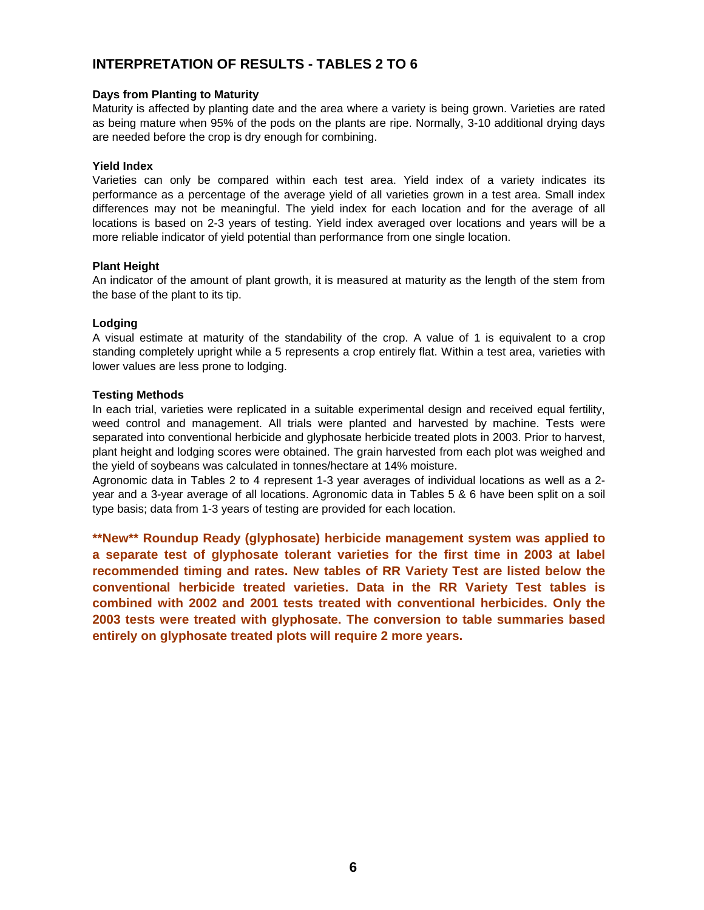# **INTERPRETATION OF RESULTS - TABLES 2 TO 6**

### **Days from Planting to Maturity**

Maturity is affected by planting date and the area where a variety is being grown. Varieties are rated as being mature when 95% of the pods on the plants are ripe. Normally, 3-10 additional drying days are needed before the crop is dry enough for combining.

## **Yield Index**

Varieties can only be compared within each test area. Yield index of a variety indicates its performance as a percentage of the average yield of all varieties grown in a test area. Small index differences may not be meaningful. The yield index for each location and for the average of all locations is based on 2-3 years of testing. Yield index averaged over locations and years will be a more reliable indicator of yield potential than performance from one single location.

## **Plant Height**

An indicator of the amount of plant growth, it is measured at maturity as the length of the stem from the base of the plant to its tip.

## **Lodging**

A visual estimate at maturity of the standability of the crop. A value of 1 is equivalent to a crop standing completely upright while a 5 represents a crop entirely flat. Within a test area, varieties with lower values are less prone to lodging.

## **Testing Methods**

In each trial, varieties were replicated in a suitable experimental design and received equal fertility, weed control and management. All trials were planted and harvested by machine. Tests were separated into conventional herbicide and glyphosate herbicide treated plots in 2003. Prior to harvest, plant height and lodging scores were obtained. The grain harvested from each plot was weighed and the yield of soybeans was calculated in tonnes/hectare at 14% moisture.

Agronomic data in Tables 2 to 4 represent 1-3 year averages of individual locations as well as a 2 year and a 3-year average of all locations. Agronomic data in Tables 5 & 6 have been split on a soil type basis; data from 1-3 years of testing are provided for each location.

**\*\*New\*\* Roundup Ready (glyphosate) herbicide management system was applied to a separate test of glyphosate tolerant varieties for the first time in 2003 at label recommended timing and rates. New tables of RR Variety Test are listed below the conventional herbicide treated varieties. Data in the RR Variety Test tables is combined with 2002 and 2001 tests treated with conventional herbicides. Only the 2003 tests were treated with glyphosate. The conversion to table summaries based entirely on glyphosate treated plots will require 2 more years.**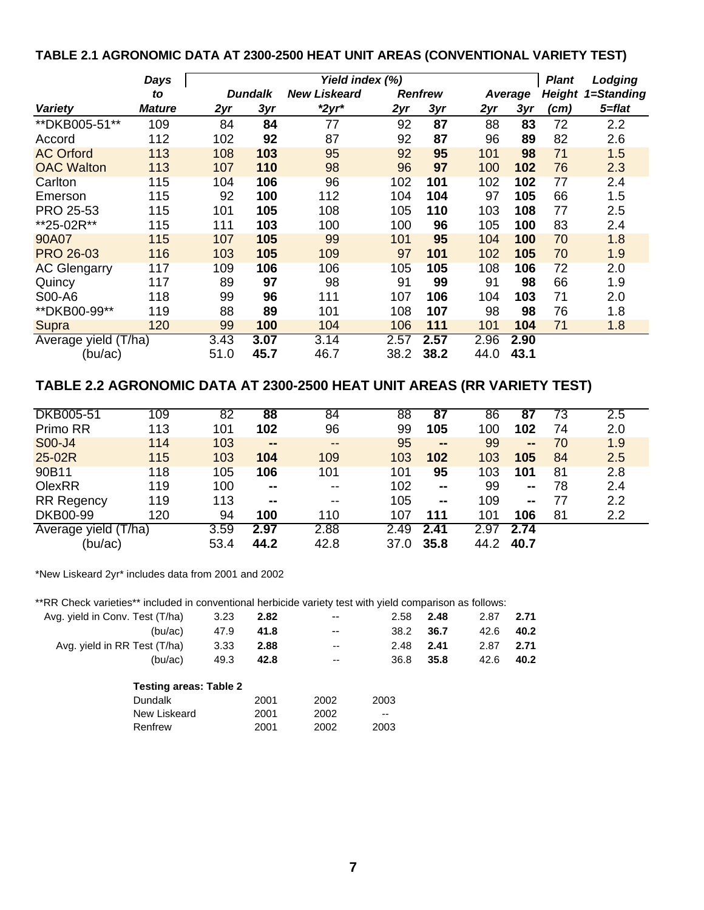# **TABLE 2.1 AGRONOMIC DATA AT 2300-2500 HEAT UNIT AREAS (CONVENTIONAL VARIETY TEST)**

|                      | Days          | Yield index (%) |                |                     |      |                |      |         |               | Lodging    |
|----------------------|---------------|-----------------|----------------|---------------------|------|----------------|------|---------|---------------|------------|
|                      | to            |                 | <b>Dundalk</b> | <b>New Liskeard</b> |      | <b>Renfrew</b> |      | Average | <b>Height</b> | 1=Standing |
| <b>Variety</b>       | <b>Mature</b> | 2yr             | 3yr            | $*2yr*$             | 2yr  | 3yr            | 2yr  | 3yr     | (cm)          | 5=flat     |
| ** DKB005-51**       | 109           | 84              | 84             | 77                  | 92   | 87             | 88   | 83      | 72            | 2.2        |
| Accord               | 112           | 102             | 92             | 87                  | 92   | 87             | 96   | 89      | 82            | 2.6        |
| <b>AC Orford</b>     | 113           | 108             | 103            | 95                  | 92   | 95             | 101  | 98      | 71            | 1.5        |
| <b>OAC Walton</b>    | 113           | 107             | 110            | 98                  | 96   | 97             | 100  | 102     | 76            | 2.3        |
| Carlton              | 115           | 104             | 106            | 96                  | 102  | 101            | 102  | 102     | 77            | 2.4        |
| Emerson              | 115           | 92              | 100            | 112                 | 104  | 104            | 97   | 105     | 66            | 1.5        |
| PRO 25-53            | 115           | 101             | 105            | 108                 | 105  | 110            | 103  | 108     | 77            | 2.5        |
| **25-02R**           | 115           | 111             | 103            | 100                 | 100  | 96             | 105  | 100     | 83            | 2.4        |
| 90A07                | 115           | 107             | 105            | 99                  | 101  | 95             | 104  | 100     | 70            | 1.8        |
| <b>PRO 26-03</b>     | 116           | 103             | 105            | 109                 | 97   | 101            | 102  | 105     | 70            | 1.9        |
| <b>AC Glengarry</b>  | 117           | 109             | 106            | 106                 | 105  | 105            | 108  | 106     | 72            | 2.0        |
| Quincy               | 117           | 89              | 97             | 98                  | 91   | 99             | 91   | 98      | 66            | 1.9        |
| S00-A6               | 118           | 99              | 96             | 111                 | 107  | 106            | 104  | 103     | 71            | 2.0        |
| ** DKB00-99**        | 119           | 88              | 89             | 101                 | 108  | 107            | 98   | 98      | 76            | 1.8        |
| Supra                | 120           | 99              | 100            | 104                 | 106  | 111            | 101  | 104     | 71            | 1.8        |
| Average yield (T/ha) |               | 3.43            | 3.07           | 3.14                | 2.57 | 2.57           | 2.96 | 2.90    |               |            |
| (bu/ac)              |               | 51.0            | 45.7           | 46.7                | 38.2 | 38.2           | 44.0 | 43.1    |               |            |

# **TABLE 2.2 AGRONOMIC DATA AT 2300-2500 HEAT UNIT AREAS (RR VARIETY TEST)**

| <b>DKB005-51</b>  | 109   | 82   | 88     | 84                       | 88   | 87           | 86   | 87             | 73 | 2.5              |
|-------------------|-------|------|--------|--------------------------|------|--------------|------|----------------|----|------------------|
| Primo RR          | 113   | 101  | 102    | 96                       | 99   | 105          | 100  | 102            | 74 | 2.0              |
| S00-J4            | 114   | 103  | $\sim$ | $\overline{\phantom{m}}$ | 95   | $\mathbf{m}$ | 99   | $\blacksquare$ | 70 | 1.9              |
| 25-02R            | 115   | 103  | 104    | 109                      | 103  | 102          | 103  | 105            | 84 | 2.5              |
| 90B11             | 118   | 105  | 106    | 101                      | 101  | 95           | 103  | 101            | 81 | 2.8              |
| OlexRR            | 119   | 100  | $\sim$ | $\overline{\phantom{m}}$ | 102  | $\sim$       | 99   | $\sim$         | 78 | 2.4              |
| <b>RR Regency</b> | 119   | 113  | --     | $- -$                    | 105  | $\sim$       | 109  | $\sim$         | 77 | 2.2              |
| <b>DKB00-99</b>   | 120   | 94   | 100    | 110                      | 107  | 111          | 101  | 106            | 81 | $2.2\phantom{0}$ |
| Average yield (   | Г/ha) | 3.59 | 2.97   | 2.88                     | 2.49 | 2.41         | 2.97 | 2.74           |    |                  |
| (bu/ac)           |       | 53.4 | 44.2   | 42.8                     | 37.0 | 35.8         | 44.2 | 40.7           |    |                  |

\*New Liskeard 2yr\* includes data from 2001 and 2002

| **RR Check varieties** included in conventional herbicide variety test with yield comparison as follows: |      |      |                          |       |      |      |      |
|----------------------------------------------------------------------------------------------------------|------|------|--------------------------|-------|------|------|------|
| Avg. yield in Conv. Test (T/ha)                                                                          | 3.23 | 2.82 | $-$                      | 2.58  | 2.48 | 2.87 | 2.71 |
| (bu/ac)                                                                                                  | 47.9 | 41.8 | $- -$                    | 38.2  | 36.7 | 42.6 | 40.2 |
| Avg. yield in RR Test (T/ha)                                                                             | 3.33 | 2.88 | $\overline{\phantom{a}}$ | 2.48  | 2.41 | 2.87 | 2.71 |
| (bu/ac)                                                                                                  | 49.3 | 42.8 | $\overline{\phantom{m}}$ | 36.8  | 35.8 | 42.6 | 40.2 |
| <b>Testing areas: Table 2</b>                                                                            |      |      |                          |       |      |      |      |
| <b>Dundalk</b>                                                                                           |      | 2001 | 2002                     | 2003  |      |      |      |
| New Liskeard                                                                                             |      | 2001 | 2002                     | $- -$ |      |      |      |
| Renfrew                                                                                                  |      | 2001 | 2002                     | 2003  |      |      |      |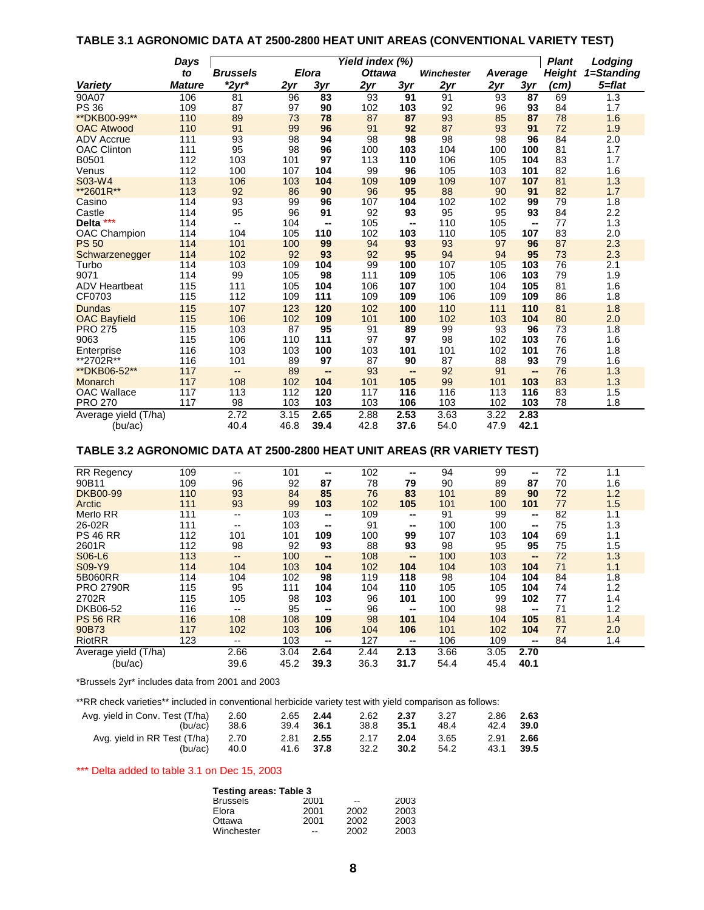# **TABLE 3.1 AGRONOMIC DATA AT 2500-2800 HEAT UNIT AREAS (CONVENTIONAL VARIETY TEST)**

|                       | Days          | Yield index (%)          |      |                          |               |                          |                   |         |      | <b>Plant</b>  | Lodging    |
|-----------------------|---------------|--------------------------|------|--------------------------|---------------|--------------------------|-------------------|---------|------|---------------|------------|
|                       | to            | <b>Brussels</b>          |      | <b>Elora</b>             | <b>Ottawa</b> |                          | <b>Winchester</b> | Average |      | <b>Height</b> | 1=Standing |
| <b>Variety</b>        | <b>Mature</b> | $*2yr*$                  | 2yr  | 3yr                      | 2yr           | 3yr                      | 2yr               | 2yr     | 3yr  | (cm)          | 5=flat     |
| 90A07                 | 106           | 81                       | 96   | 83                       | 93            | 91                       | 91                | 93      | 87   | 69            | 1.3        |
| <b>PS 36</b>          | 109           | 87                       | 97   | 90                       | 102           | 103                      | 92                | 96      | 93   | 84            | 1.7        |
| ** DKB00-99**         | 110           | 89                       | 73   | 78                       | 87            | 87                       | 93                | 85      | 87   | 78            | 1.6        |
| <b>OAC Atwood</b>     | 110           | 91                       | 99   | 96                       | 91            | 92                       | 87                | 93      | 91   | 72            | 1.9        |
| <b>ADV Accrue</b>     | 111           | 93                       | 98   | 94                       | 98            | 98                       | 98                | 98      | 96   | 84            | 2.0        |
| <b>OAC Clinton</b>    | 111           | 95                       | 98   | 96                       | 100           | 103                      | 104               | 100     | 100  | 81            | 1.7        |
| B0501                 | 112           | 103                      | 101  | 97                       | 113           | 110                      | 106               | 105     | 104  | 83            | 1.7        |
| Venus                 | 112           | 100                      | 107  | 104                      | 99            | 96                       | 105               | 103     | 101  | 82            | 1.6        |
| S03-W4                | 113           | 106                      | 103  | 104                      | 109           | 109                      | 109               | 107     | 107  | 81            | 1.3        |
| **2601R**             | 113           | 92                       | 86   | 90                       | 96            | 95                       | 88                | 90      | 91   | 82            | 1.7        |
| Casino                | 114           | 93                       | 99   | 96                       | 107           | 104                      | 102               | 102     | 99   | 79            | 1.8        |
| Castle                | 114           | 95                       | 96   | 91                       | 92            | 93                       | 95                | 95      | 93   | 84            | 2.2        |
| $***$<br><b>Delta</b> | 114           | $\overline{\phantom{a}}$ | 104  | $\overline{\phantom{a}}$ | 105           | --                       | 110               | 105     | --   | 77            | 1.3        |
| OAC Champion          | 114           | 104                      | 105  | 110                      | 102           | 103                      | 110               | 105     | 107  | 83            | 2.0        |
| <b>PS 50</b>          | 114           | 101                      | 100  | 99                       | 94            | 93                       | 93                | 97      | 96   | 87            | 2.3        |
| Schwarzenegger        | 114           | 102                      | 92   | 93                       | 92            | 95                       | 94                | 94      | 95   | 73            | 2.3        |
| Turbo                 | 114           | 103                      | 109  | 104                      | 99            | 100                      | 107               | 105     | 103  | 76            | 2.1        |
| 9071                  | 114           | 99                       | 105  | 98                       | 111           | 109                      | 105               | 106     | 103  | 79            | 1.9        |
| <b>ADV Heartbeat</b>  | 115           | 111                      | 105  | 104                      | 106           | 107                      | 100               | 104     | 105  | 81            | 1.6        |
| CF0703                | 115           | 112                      | 109  | 111                      | 109           | 109                      | 106               | 109     | 109  | 86            | 1.8        |
| <b>Dundas</b>         | 115           | 107                      | 123  | 120                      | 102           | 100                      | 110               | 111     | 110  | 81            | 1.8        |
| <b>OAC Bayfield</b>   | 115           | 106                      | 102  | 109                      | 101           | 100                      | 102               | 103     | 104  | 80            | 2.0        |
| <b>PRO 275</b>        | 115           | 103                      | 87   | 95                       | 91            | 89                       | 99                | 93      | 96   | 73            | 1.8        |
| 9063                  | 115           | 106                      | 110  | 111                      | 97            | 97                       | 98                | 102     | 103  | 76            | 1.6        |
| Enterprise            | 116           | 103                      | 103  | 100                      | 103           | 101                      | 101               | 102     | 101  | 76            | 1.8        |
| **2702R**             | 116           | 101                      | 89   | 97                       | 87            | 90                       | 87                | 88      | 93   | 79            | 1.6        |
| ** DKB06-52**         | 117           | $\overline{\phantom{a}}$ | 89   | --                       | 93            | $\overline{\phantom{a}}$ | 92                | 91      | --   | 76            | 1.3        |
| Monarch               | 117           | 108                      | 102  | 104                      | 101           | 105                      | 99                | 101     | 103  | 83            | 1.3        |
| <b>OAC Wallace</b>    | 117           | 113                      | 112  | 120                      | 117           | 116                      | 116               | 113     | 116  | 83            | 1.5        |
| <b>PRO 270</b>        | 117           | 98                       | 103  | 103                      | 103           | 106                      | 103               | 102     | 103  | 78            | 1.8        |
| Average yield (T/ha)  |               | 2.72                     | 3.15 | 2.65                     | 2.88          | 2.53                     | 3.63              | 3.22    | 2.83 |               |            |
| (bu/ac)               |               | 40.4                     | 46.8 | 39.4                     | 42.8          | 37.6                     | 54.0              | 47.9    | 42.1 |               |            |

# **TABLE 3.2 AGRONOMIC DATA AT 2500-2800 HEAT UNIT AREAS (RR VARIETY TEST)**

| RR Regency                      | 109 | $- -$                    | 101          | --           | 102          | --           | 94           | 99           | --                       | 72 | 1.1 |
|---------------------------------|-----|--------------------------|--------------|--------------|--------------|--------------|--------------|--------------|--------------------------|----|-----|
| 90B11                           | 109 | 96                       | 92           | 87           | 78           | 79           | 90           | 89           | 87                       | 70 | 1.6 |
| <b>DKB00-99</b>                 | 110 | 93                       | 84           | 85           | 76           | 83           | 101          | 89           | 90                       | 72 | 1.2 |
| Arctic                          | 111 | 93                       | 99           | 103          | 102          | 105          | 101          | 100          | 101                      | 77 | 1.5 |
| <b>Merlo RR</b>                 | 111 | $\overline{\phantom{a}}$ | 103          | --           | 109          | --           | 91           | 99           | --                       | 82 | 1.1 |
| 26-02R                          | 111 | $- -$                    | 103          | --           | 91           | --           | 100          | 100          | --                       | 75 | 1.3 |
| <b>PS 46 RR</b>                 | 112 | 101                      | 101          | 109          | 100          | 99           | 107          | 103          | 104                      | 69 | 1.1 |
| 2601R                           | 112 | 98                       | 92           | 93           | 88           | 93           | 98           | 95           | 95                       | 75 | 1.5 |
| S06-L6                          | 113 | $\qquad \qquad -$        | 100          | $\sim$       | 108          | $\sim$       | 100          | 103          | $\overline{\phantom{a}}$ | 72 | 1.3 |
| S09-Y9                          | 114 | 104                      | 103          | 104          | 102          | 104          | 104          | 103          | 104                      | 71 | 1.1 |
| 5B060RR                         | 114 | 104                      | 102          | 98           | 119          | 118          | 98           | 104          | 104                      | 84 | 1.8 |
| <b>PRO 2790R</b>                | 115 | 95                       | 111          | 104          | 104          | 110          | 105          | 105          | 104                      | 74 | 1.2 |
| 2702R                           | 115 | 105                      | 98           | 103          | 96           | 101          | 100          | 99           | 102                      | 77 | 1.4 |
| DKB06-52                        | 116 | $- -$                    | 95           | --           | 96           | $\sim$       | 100          | 98           | --                       | 71 | 1.2 |
| <b>PS 56 RR</b>                 | 116 | 108                      | 108          | 109          | 98           | 101          | 104          | 104          | 105                      | 81 | 1.4 |
| 90B73                           | 117 | 102                      | 103          | 106          | 104          | 106          | 101          | 102          | 104                      | 77 | 2.0 |
| <b>RiotRR</b>                   | 123 | --                       | 103          | --           | 127          | --           | 106          | 109          | --                       | 84 | 1.4 |
| Average yield (T/ha)<br>(bu/ac) |     | 2.66<br>39.6             | 3.04<br>45.2 | 2.64<br>39.3 | 2.44<br>36.3 | 2.13<br>31.7 | 3.66<br>54.4 | 3.05<br>45.4 | 2.70<br>40.1             |    |     |

\*Brussels 2yr\* includes data from 2001 and 2003

\*\*RR check varieties\*\* included in conventional herbicide variety test with yield comparison as follows:

| Avg. yield in Conv. Test (T/ha)<br>(bu/ac)   | 2.60<br>-38.6 | 2.65 2.44<br>39.4 36.1 | 2.62<br>38.8      | 2.37<br>- 35.1 | 3.27<br>48.4 | 2.86 2.63<br>42.4 39.0 |        |
|----------------------------------------------|---------------|------------------------|-------------------|----------------|--------------|------------------------|--------|
| Avg. yield in RR Test (T/ha) 2.70<br>(bu/ac) | 40.0          | 2.81 2.55<br>41.6 37.8 | 2.17 2.04<br>32.2 | 30.2           | 3.65<br>54.2 | 2.91 2.66<br>43.1      | - 39.5 |

\*\*\* Delta added to table 3.1 on Dec 15, 2003

| Testing areas: Table 3 |      |      |  |  |  |  |  |  |  |  |  |  |  |
|------------------------|------|------|--|--|--|--|--|--|--|--|--|--|--|
| 2001                   | --   | 2003 |  |  |  |  |  |  |  |  |  |  |  |
| 2001                   | 2002 | 2003 |  |  |  |  |  |  |  |  |  |  |  |
| 2001                   | 2002 | 2003 |  |  |  |  |  |  |  |  |  |  |  |
| --                     | 2002 | 2003 |  |  |  |  |  |  |  |  |  |  |  |
|                        |      |      |  |  |  |  |  |  |  |  |  |  |  |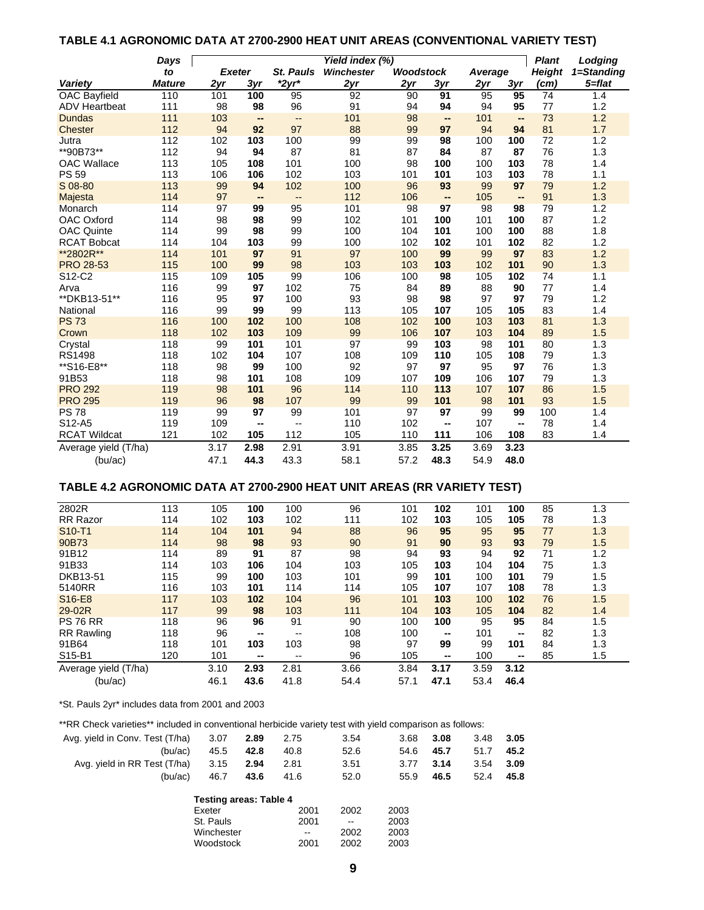## **TABLE 4.1 AGRONOMIC DATA AT 2700-2900 HEAT UNIT AREAS (CONVENTIONAL VARIETY TEST)**

|                      | Days          | Yield index (%) |          |                  |                   |                  |                                |           |                                | <b>Plant</b>  | Lodging    |
|----------------------|---------------|-----------------|----------|------------------|-------------------|------------------|--------------------------------|-----------|--------------------------------|---------------|------------|
|                      | to            | <b>Exeter</b>   |          | <b>St. Pauls</b> | <b>Winchester</b> | <b>Woodstock</b> |                                | Average   |                                | <b>Height</b> | 1=Standing |
| Variety              | <b>Mature</b> | 2yr             | 3yr      | $*2yr*$          | 2yr               | 2yr              | 3yr                            | 2yr       | 3yr                            | (cm)          | 5=flat     |
| OAC Bayfield         | 110           | 101             | 100      | 95               | 92                | 90               | 91                             | 95        | 95                             | 74            | 1.4        |
| <b>ADV Heartbeat</b> | 111           | 98              | 98       | 96               | 91                | 94               | 94                             | 94        | 95                             | 77            | 1.2        |
| <b>Dundas</b>        | 111           | 103             | --       | Щ,               | 101               | 98               | $\overline{\phantom{a}}$       | 101       | $\overline{\phantom{a}}$       | 73            | 1.2        |
| <b>Chester</b>       | 112           | 94              | 92       | 97               | 88                | 99               | 97                             | 94        | 94                             | 81            | 1.7        |
| Jutra                | 112           | 102             | 103      | 100              | 99                | 99               | 98                             | 100       | 100                            | 72            | 1.2        |
| **90B73**            | 112           | 94              | 94       | 87               | 81                | 87               | 84                             | 87        | 87                             | 76            | 1.3        |
| <b>OAC Wallace</b>   | 113           | 105             | 108      | 101              | 100               | 98               | 100                            | 100       | 103                            | 78            | 1.4        |
| <b>PS 59</b>         | 113           | 106             | 106      | 102              | 103               | 101              | 101                            | 103       | 103                            | 78            | 1.1        |
| S 08-80              | 113<br>114    | 99<br>97        | 94       | 102              | 100<br>112        | 96<br>106        | 93                             | 99<br>105 | 97                             | 79<br>91      | 1.2<br>1.3 |
| Majesta<br>Monarch   | 114           | 97              | --<br>99 | --<br>95         | 101               | 98               | $\overline{\phantom{a}}$<br>97 | 98        | $\overline{\phantom{a}}$<br>98 | 79            | 1.2        |
| OAC Oxford           | 114           | 98              | 98       | 99               | 102               | 101              | 100                            | 101       | 100                            | 87            | 1.2        |
| <b>OAC Quinte</b>    | 114           | 99              | 98       | 99               | 100               | 104              | 101                            | 100       | 100                            | 88            | 1.8        |
| <b>RCAT Bobcat</b>   | 114           | 104             | 103      | 99               | 100               | 102              | 102                            | 101       | 102                            | 82            | 1.2        |
| **2802R**            | 114           | 101             | 97       | 91               | 97                | 100              | 99                             | 99        | 97                             | 83            | 1.2        |
| <b>PRO 28-53</b>     | 115           | 100             | 99       | 98               | 103               | 103              | 103                            | 102       | 101                            | 90            | 1.3        |
| S12-C2               | 115           | 109             | 105      | 99               | 106               | 100              | 98                             | 105       | 102                            | 74            | 1.1        |
| Arva                 | 116           | 99              | 97       | 102              | 75                | 84               | 89                             | 88        | 90                             | 77            | 1.4        |
| ** DKB13-51**        | 116           | 95              | 97       | 100              | 93                | 98               | 98                             | 97        | 97                             | 79            | 1.2        |
| National             | 116           | 99              | 99       | 99               | 113               | 105              | 107                            | 105       | 105                            | 83            | 1.4        |
| <b>PS 73</b>         | 116           | 100             | 102      | 100              | 108               | 102              | 100                            | 103       | 103                            | 81            | 1.3        |
| Crown                | 118           | 102             | 103      | 109              | 99                | 106              | 107                            | 103       | 104                            | 89            | 1.5        |
| Crystal              | 118           | 99              | 101      | 101              | 97                | 99               | 103                            | 98        | 101                            | 80            | 1.3        |
| <b>RS1498</b>        | 118           | 102             | 104      | 107              | 108               | 109              | 110                            | 105       | 108                            | 79            | 1.3        |
| **S16-E8**           | 118           | 98              | 99       | 100              | 92                | 97               | 97                             | 95        | 97                             | 76            | 1.3        |
| 91B53                | 118           | 98              | 101      | 108              | 109               | 107              | 109                            | 106       | 107                            | 79            | 1.3        |
| <b>PRO 292</b>       | 119           | 98              | 101      | 96               | 114               | 110              | 113                            | 107       | 107                            | 86            | 1.5        |
| <b>PRO 295</b>       | 119           | 96              | 98       | 107              | 99                | 99               | 101                            | 98        | 101                            | 93            | 1.5        |
| <b>PS 78</b>         | 119           | 99              | 97       | 99               | 101               | 97               | 97                             | 99        | 99                             | 100           | 1.4        |
| S12-A5               | 119           | 109             | --       | --               | 110               | 102              | ц.                             | 107       | $\mathbf{u}$                   | 78            | 1.4        |
| <b>RCAT Wildcat</b>  | 121           | 102             | 105      | 112              | 105               | 110              | 111                            | 106       | 108                            | 83            | 1.4        |
| Average yield (T/ha) |               | 3.17            | 2.98     | 2.91             | 3.91              | 3.85             | 3.25                           | 3.69      | 3.23                           |               |            |
| (bu/ac)              |               | 47.1            | 44.3     | 43.3             | 58.1              | 57.2             | 48.3                           | 54.9      | 48.0                           |               |            |

## **TABLE 4.2 AGRONOMIC DATA AT 2700-2900 HEAT UNIT AREAS (RR VARIETY TEST)**

| 2802R                           | 113 | 105  | 100  | 100   | 96   | 101  | 102  | 101  | 100    | 85 | 1.3 |
|---------------------------------|-----|------|------|-------|------|------|------|------|--------|----|-----|
| <b>RR</b> Razor                 | 114 | 102  | 103  | 102   | 111  | 102  | 103  | 105  | 105    | 78 | 1.3 |
| S <sub>10</sub> -T <sub>1</sub> | 114 | 104  | 101  | 94    | 88   | 96   | 95   | 95   | 95     | 77 | 1.3 |
| 90B73                           | 114 | 98   | 98   | 93    | 90   | 91   | 90   | 93   | 93     | 79 | 1.5 |
| 91B12                           | 114 | 89   | 91   | 87    | 98   | 94   | 93   | 94   | 92     | 71 | 1.2 |
| 91B33                           | 114 | 103  | 106  | 104   | 103  | 105  | 103  | 104  | 104    | 75 | 1.3 |
| DKB13-51                        | 115 | 99   | 100  | 103   | 101  | 99   | 101  | 100  | 101    | 79 | 1.5 |
| 5140RR                          | 116 | 103  | 101  | 114   | 114  | 105  | 107  | 107  | 108    | 78 | 1.3 |
| S <sub>16</sub> -E <sub>8</sub> | 117 | 103  | 102  | 104   | 96   | 101  | 103  | 100  | 102    | 76 | 1.5 |
| 29-02R                          | 117 | 99   | 98   | 103   | 111  | 104  | 103  | 105  | 104    | 82 | 1.4 |
| <b>PS 76 RR</b>                 | 118 | 96   | 96   | 91    | 90   | 100  | 100  | 95   | 95     | 84 | 1.5 |
| <b>RR Rawling</b>               | 118 | 96   | --   | $- -$ | 108  | 100  | --   | 101  | --     | 82 | 1.3 |
| 91B64                           | 118 | 101  | 103  | 103   | 98   | 97   | 99   | 99   | 101    | 84 | 1.3 |
| S15-B1                          | 120 | 101  | --   | $- -$ | 96   | 105  | --   | 100  | $\sim$ | 85 | 1.5 |
| Average yield (T/ha)            |     | 3.10 | 2.93 | 2.81  | 3.66 | 3.84 | 3.17 | 3.59 | 3.12   |    |     |
| (bu/ac)                         |     | 46.1 | 43.6 | 41.8  | 54.4 | 57.1 | 47.1 | 53.4 | 46.4   |    |     |

\*St. Pauls 2yr\* includes data from 2001 and 2003

\*\*RR Check varieties\*\* included in conventional herbicide variety test with yield comparison as follows:

Winchester --

| Avg. yield in Conv. Test (T/ha) | 3.07                          | 2.89 | 2.75          | 3.54   | 3.68 | 3.08 | 3.48 | 3.05 |
|---------------------------------|-------------------------------|------|---------------|--------|------|------|------|------|
| (bu/ac)                         | 45.5                          | 42.8 | 40.8          | 52.6   | 54.6 | 45.7 | 51.7 | 45.2 |
| Avg. yield in RR Test (T/ha)    | 3.15                          | 2.94 | 2.81          | 3.51   | 3.77 | 3.14 | 3.54 | 3.09 |
| (bu/ac)                         | 46.7                          | 43.6 | 41.6          | 52.0   | 55.9 | 46.5 | 52.4 | 45.8 |
|                                 | <b>Testing areas: Table 4</b> |      |               |        |      |      |      |      |
|                                 | Exeter                        |      | 2001          | 2002   | 2003 |      |      |      |
|                                 | St. Pauls                     |      | 2001          | $\sim$ | 2003 |      |      |      |
|                                 | Winchester                    |      | $\sim$ $\sim$ | 2002   | 2003 |      |      |      |

Woodstock 2001 2002 2003

| I<br>I<br>٦<br>I |
|------------------|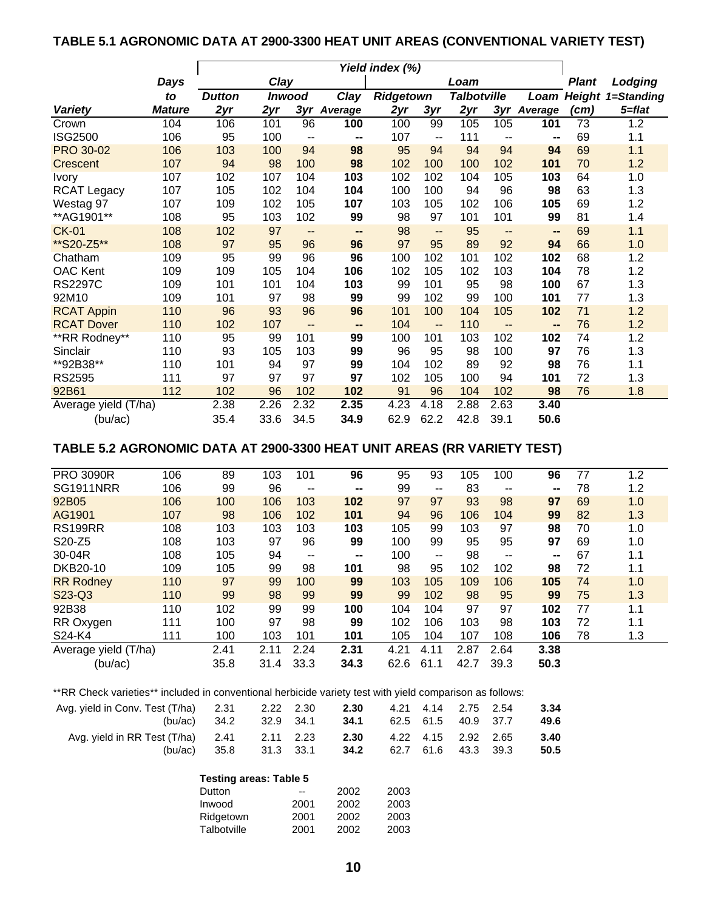# **TABLE 5.1 AGRONOMIC DATA AT 2900-3300 HEAT UNIT AREAS (CONVENTIONAL VARIETY TEST)**

|                      |               | Yield index (%) |      |               |         |                  |                                               |                    |      |              |         |                          |
|----------------------|---------------|-----------------|------|---------------|---------|------------------|-----------------------------------------------|--------------------|------|--------------|---------|--------------------------|
|                      | Days          | Clay            |      |               |         |                  | Loam                                          |                    |      | <b>Plant</b> | Lodging |                          |
|                      | to            | <b>Dutton</b>   |      | <b>Inwood</b> | Clay    | <b>Ridgetown</b> |                                               | <b>Talbotville</b> |      | Loam         |         | <b>Height 1=Standing</b> |
| <b>Variety</b>       | <b>Mature</b> | 2yr             | 2yr  | 3yr           | Average | 2yr              | 3yr                                           | 2yr                |      | 3yr Average  | (cm)    | 5=flat                   |
| Crown                | 104           | 106             | 101  | 96            | 100     | 100              | 99                                            | 105                | 105  | 101          | 73      | 1.2                      |
| <b>ISG2500</b>       | 106           | 95              | 100  | --            | --      | 107              | $\overline{\phantom{a}}$                      | 111                | --   | --           | 69      | 1.1                      |
| <b>PRO 30-02</b>     | 106           | 103             | 100  | 94            | 98      | 95               | 94                                            | 94                 | 94   | 94           | 69      | 1.1                      |
| Crescent             | 107           | 94              | 98   | 100           | 98      | 102              | 100                                           | 100                | 102  | 101          | 70      | 1.2                      |
| <b>Ivory</b>         | 107           | 102             | 107  | 104           | 103     | 102              | 102                                           | 104                | 105  | 103          | 64      | 1.0                      |
| <b>RCAT Legacy</b>   | 107           | 105             | 102  | 104           | 104     | 100              | 100                                           | 94                 | 96   | 98           | 63      | 1.3                      |
| Westag 97            | 107           | 109             | 102  | 105           | 107     | 103              | 105                                           | 102                | 106  | 105          | 69      | 1.2                      |
| ** AG1901**          | 108           | 95              | 103  | 102           | 99      | 98               | 97                                            | 101                | 101  | 99           | 81      | 1.4                      |
| <b>CK-01</b>         | 108           | 102             | 97   | --            | --      | 98               | --                                            | 95                 | --   | --           | 69      | 1.1                      |
| **S20-Z5**           | 108           | 97              | 95   | 96            | 96      | 97               | 95                                            | 89                 | 92   | 94           | 66      | 1.0                      |
| Chatham              | 109           | 95              | 99   | 96            | 96      | 100              | 102                                           | 101                | 102  | 102          | 68      | 1.2                      |
| <b>OAC Kent</b>      | 109           | 109             | 105  | 104           | 106     | 102              | 105                                           | 102                | 103  | 104          | 78      | 1.2                      |
| <b>RS2297C</b>       | 109           | 101             | 101  | 104           | 103     | 99               | 101                                           | 95                 | 98   | 100          | 67      | 1.3                      |
| 92M10                | 109           | 101             | 97   | 98            | 99      | 99               | 102                                           | 99                 | 100  | 101          | 77      | 1.3                      |
| <b>RCAT Appin</b>    | 110           | 96              | 93   | 96            | 96      | 101              | 100                                           | 104                | 105  | 102          | 71      | 1.2                      |
| <b>RCAT Dover</b>    | 110           | 102             | 107  | --            | --      | 104              | $\mathord{\hspace{1pt}\text{--}\hspace{1pt}}$ | 110                | --   | --           | 76      | 1.2                      |
| **RR Rodney**        | 110           | 95              | 99   | 101           | 99      | 100              | 101                                           | 103                | 102  | 102          | 74      | 1.2                      |
| Sinclair             | 110           | 93              | 105  | 103           | 99      | 96               | 95                                            | 98                 | 100  | 97           | 76      | 1.3                      |
| **92B38**            | 110           | 101             | 94   | 97            | 99      | 104              | 102                                           | 89                 | 92   | 98           | 76      | 1.1                      |
| <b>RS2595</b>        | 111           | 97              | 97   | 97            | 97      | 102              | 105                                           | 100                | 94   | 101          | 72      | 1.3                      |
| 92B61                | 112           | 102             | 96   | 102           | 102     | 91               | 96                                            | 104                | 102  | 98           | 76      | 1.8                      |
| Average yield (T/ha) |               | 2.38            | 2.26 | 2.32          | 2.35    | 4.23             | 4.18                                          | 2.88               | 2.63 | 3.40         |         |                          |
| (bu/ac)              |               | 35.4            | 33.6 | 34.5          | 34.9    | 62.9             | 62.2                                          | 42.8               | 39.1 | 50.6         |         |                          |

# **TABLE 5.2 AGRONOMIC DATA AT 2900-3300 HEAT UNIT AREAS (RR VARIETY TEST)**

| 106 | 89                   | 103  | 101                      | 96             | 95   | 93    | 105  | 100   | 96                       | 77 | 1.2 |
|-----|----------------------|------|--------------------------|----------------|------|-------|------|-------|--------------------------|----|-----|
| 106 | 99                   | 96   | $\sim$ $\sim$            | $\blacksquare$ | 99   | $- -$ | 83   | $- -$ | $\hspace{0.05cm}$        | 78 | 1.2 |
| 106 | 100                  | 106  | 103                      | 102            | 97   | 97    | 93   | 98    | 97                       | 69 | 1.0 |
| 107 | 98                   | 106  | 102                      | 101            | 94   | 96    | 106  | 104   | 99                       | 82 | 1.3 |
| 108 | 103                  | 103  | 103                      | 103            | 105  | 99    | 103  | 97    | 98                       | 70 | 1.0 |
| 108 | 103                  | 97   | 96                       | 99             | 100  | 99    | 95   | 95    | 97                       | 69 | 1.0 |
| 108 | 105                  | 94   | $\overline{\phantom{a}}$ | $\blacksquare$ | 100  | --    | 98   | --    | $\overline{\phantom{m}}$ | 67 | 1.1 |
| 109 | 105                  | 99   | 98                       | 101            | 98   | 95    | 102  | 102   | 98                       | 72 | 1.1 |
| 110 | 97                   | 99   | 100                      | 99             | 103  | 105   | 109  | 106   | 105                      | 74 | 1.0 |
| 110 | 99                   | 98   | 99                       | 99             | 99   | 102   | 98   | 95    | 99                       | 75 | 1.3 |
| 110 | 102                  | 99   | 99                       | 100            | 104  | 104   | 97   | 97    | 102                      | 77 | 1.1 |
| 111 | 100                  | 97   | 98                       | 99             | 102  | 106   | 103  | 98    | 103                      | 72 | 1.1 |
| 111 | 100                  | 103  | 101                      | 101            | 105  | 104   | 107  | 108   | 106                      | 78 | 1.3 |
|     | 2.41                 | 2.11 | 2.24                     | 2.31           | 4.21 | 4.11  | 2.87 | 2.64  | 3.38                     |    |     |
|     | 35.8                 | 31.4 | 33.3                     | 34.3           | 62.6 | 61.1  | 42.7 | 39.3  | 50.3                     |    |     |
|     | Average yield (T/ha) |      |                          |                |      |       |      |       |                          |    |     |

\*\*RR Check varieties\*\* included in conventional herbicide variety test with yield comparison as follows:

| Avg. yield in Conv. Test (T/ha) 2.31 2.22 2.30<br>(bu/ac) 34.2 32.9 34.1        |                |  | 2.30<br><b>34.1</b> 62.5 61.5 40.9 37.7 |  | 4.21 4.14 2.75 2.54 | 3.34<br>49.6 |
|---------------------------------------------------------------------------------|----------------|--|-----------------------------------------|--|---------------------|--------------|
| Avg. yield in RR Test (T/ha) 2.41 2.11 2.23 2.30 4.22 4.15 2.92 2.65<br>(bu/ac) | 35.8 31.3 33.1 |  | <b>34.2</b> 62.7 61.6 43.3 39.3         |  |                     | 3.40<br>50.5 |

### **Testing areas: Table 5** Dutton -- 2002 2003 Inwood 2001 2002 2003 Ridgetown 2001 2002 2003 Talbotville 2001 2002 2003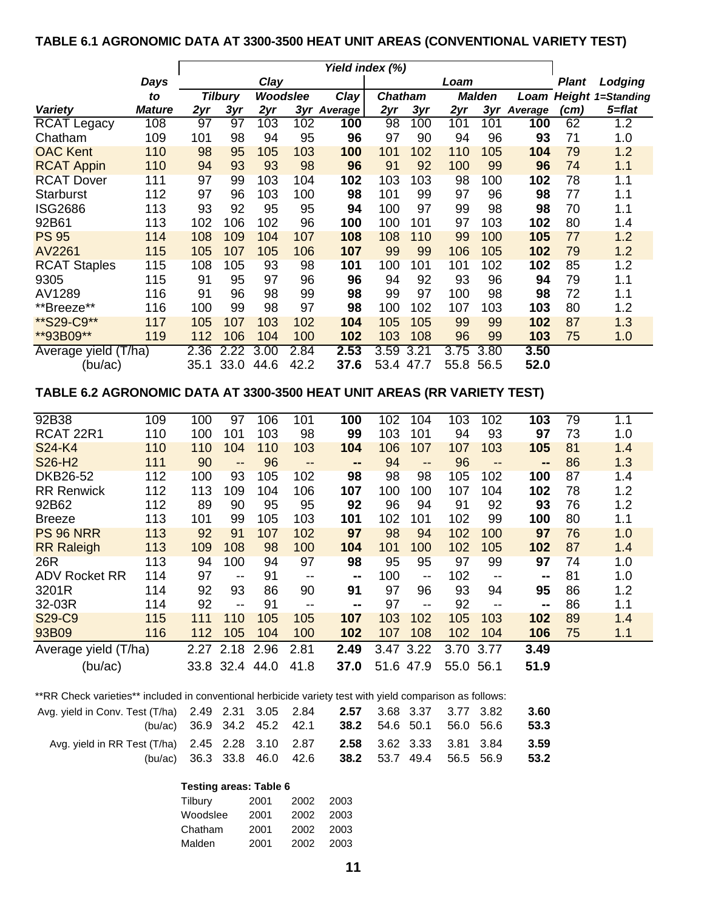# **TABLE 6.1 AGRONOMIC DATA AT 3300-3500 HEAT UNIT AREAS (CONVENTIONAL VARIETY TEST)**

|                      |               |      | Yield index (%) |          |      |                |                |      |      |               |         |       |                          |
|----------------------|---------------|------|-----------------|----------|------|----------------|----------------|------|------|---------------|---------|-------|--------------------------|
|                      | Days          |      |                 | Clay     |      |                |                |      | Loam |               |         | Plant | Lodging                  |
|                      | to            |      | <b>Tilbury</b>  | Woodslee |      | <b>Clay</b>    | <b>Chatham</b> |      |      | <b>Malden</b> | Loam    |       | <b>Height 1=Standing</b> |
| <b>Variety</b>       | <b>Mature</b> | 2yr  | 3yr             | 2yr      | 3yr  | <b>Average</b> | 2yr            | 3yr  | 2yr  | 3vr           | Average | (cm)  | 5=flat                   |
| <b>RCAT Legacy</b>   | 108           | 97   | 97              | 103      | 102  | 100            | 98             | 100  | 101  | 101           | 100     | 62    | 1.2                      |
| Chatham              | 109           | 101  | 98              | 94       | 95   | 96             | 97             | 90   | 94   | 96            | 93      | 71    | 1.0                      |
| <b>OAC Kent</b>      | 110           | 98   | 95              | 105      | 103  | 100            | 101            | 102  | 110  | 105           | 104     | 79    | 1.2                      |
| <b>RCAT Appin</b>    | 110           | 94   | 93              | 93       | 98   | 96             | 91             | 92   | 100  | 99            | 96      | 74    | 1.1                      |
| <b>RCAT Dover</b>    | 111           | 97   | 99              | 103      | 104  | 102            | 103            | 103  | 98   | 100           | 102     | 78    | 1.1                      |
| Starburst            | 112           | 97   | 96              | 103      | 100  | 98             | 101            | 99   | 97   | 96            | 98      | 77    | 1.1                      |
| <b>ISG2686</b>       | 113           | 93   | 92              | 95       | 95   | 94             | 100            | 97   | 99   | 98            | 98      | 70    | 1.1                      |
| 92B61                | 113           | 102  | 106             | 102      | 96   | 100            | 100            | 101  | 97   | 103           | 102     | 80    | 1.4                      |
| <b>PS 95</b>         | 114           | 108  | 109             | 104      | 107  | 108            | 108            | 110  | 99   | 100           | 105     | 77    | 1.2                      |
| AV2261               | 115           | 105  | 107             | 105      | 106  | 107            | 99             | 99   | 106  | 105           | 102     | 79    | 1.2                      |
| <b>RCAT Staples</b>  | 115           | 108  | 105             | 93       | 98   | 101            | 100            | 101  | 101  | 102           | 102     | 85    | 1.2                      |
| 9305                 | 115           | 91   | 95              | 97       | 96   | 96             | 94             | 92   | 93   | 96            | 94      | 79    | 1.1                      |
| AV1289               | 116           | 91   | 96              | 98       | 99   | 98             | 99             | 97   | 100  | 98            | 98      | 72    | 1.1                      |
| **Breeze**           | 116           | 100  | 99              | 98       | 97   | 98             | 100            | 102  | 107  | 103           | 103     | 80    | 1.2                      |
| **S29-C9**           | 117           | 105  | 107             | 103      | 102  | 104            | 105            | 105  | 99   | 99            | 102     | 87    | 1.3                      |
| **93B09**            | 119           | 112  | 106             | 104      | 100  | 102            | 103            | 108  | 96   | 99            | 103     | 75    | 1.0                      |
| Average yield (T/ha) |               | 2.36 | 2.22            | 3.00     | 2.84 | 2.53           | 3.59           | 3.21 | 3.75 | 3.80          | 3.50    |       |                          |
| (bu/ac)              |               | 35.1 | 33.0            | 44.6     | 42.2 | 37.6           | 53.4           | 47.7 | 55.8 | 56.5          | 52.0    |       |                          |

## **TABLE 6.2 AGRONOMIC DATA AT 3300-3500 HEAT UNIT AREAS (RR VARIETY TEST)**

| 92B38                | 109 | 100  | 97                | 106  | 101  | 100                          | 102       | 104  | 103  | 102  | 103  | $\overline{79}$ | 1.1 |
|----------------------|-----|------|-------------------|------|------|------------------------------|-----------|------|------|------|------|-----------------|-----|
| RCAT 22R1            | 110 | 100  | 101               | 103  | 98   | 99                           | 103       | 101  | 94   | 93   | 97   | 73              | 1.0 |
| S24-K4               | 110 | 110  | 104               | 110  | 103  | 104                          | 106       | 107  | 107  | 103  | 105  | 81              | 1.4 |
| S26-H <sub>2</sub>   | 111 | 90   | $\qquad \qquad -$ | 96   | --   | $\qquad \qquad \blacksquare$ | 94        | --   | 96   | --   | --   | 86              | 1.3 |
| <b>DKB26-52</b>      | 112 | 100  | 93                | 105  | 102  | 98                           | 98        | 98   | 105  | 102  | 100  | 87              | 1.4 |
| <b>RR Renwick</b>    | 112 | 113  | 109               | 104  | 106  | 107                          | 100       | 100  | 107  | 104  | 102  | 78              | 1.2 |
| 92B62                | 112 | 89   | 90                | 95   | 95   | 92                           | 96        | 94   | 91   | 92   | 93   | 76              | 1.2 |
| <b>Breeze</b>        | 113 | 101  | 99                | 105  | 103  | 101                          | 102       | 101  | 102  | 99   | 100  | 80              | 1.1 |
| <b>PS 96 NRR</b>     | 113 | 92   | 91                | 107  | 102  | 97                           | 98        | 94   | 102  | 100  | 97   | 76              | 1.0 |
| <b>RR Raleigh</b>    | 113 | 109  | 108               | 98   | 100  | 104                          | 101       | 100  | 102  | 105  | 102  | 87              | 1.4 |
| 26R                  | 113 | 94   | 100               | 94   | 97   | 98                           | 95        | 95   | 97   | 99   | 97   | 74              | 1.0 |
| <b>ADV Rocket RR</b> | 114 | 97   | $- -$             | 91   | --   | --                           | 100       | --   | 102  | --   | --   | 81              | 1.0 |
| 3201R                | 114 | 92   | 93                | 86   | 90   | 91                           | 97        | 96   | 93   | 94   | 95   | 86              | 1.2 |
| 32-03R               | 114 | 92   | $- -$             | 91   | --   | $\sim$ $\sim$                | 97        | --   | 92   | --   | --   | 86              | 1.1 |
| S29-C9               | 115 | 111  | 110               | 105  | 105  | 107                          | 103       | 102  | 105  | 103  | 102  | 89              | 1.4 |
| 93B09                | 116 | 112  | 105               | 104  | 100  | 102                          | 107       | 108  | 102  | 104  | 106  | 75              | 1.1 |
| Average yield (T/ha) |     | 2.27 | 2.18              | 2.96 | 2.81 | 2.49                         | 3.47      | 3.22 | 3.70 | 3.77 | 3.49 |                 |     |
| (bu/ac)              |     | 33.8 | 32.4              | 44.0 | 41.8 | 37.0                         | 51.6 47.9 |      | 55.0 | 56.1 | 51.9 |                 |     |

| **RR Check varieties** included in conventional herbicide variety test with yield comparison as follows: |  |  |  |  |
|----------------------------------------------------------------------------------------------------------|--|--|--|--|
|                                                                                                          |  |  |  |  |

| Avg. yield in Conv. Test (T/ha) 2.49 2.31 3.05 2.84 2.57 3.68 3.37 3.77 3.82 3.60 |  |  |                                                           |  |  |  |
|-----------------------------------------------------------------------------------|--|--|-----------------------------------------------------------|--|--|--|
|                                                                                   |  |  | (bu/ac) 36.9 34.2 45.2 42.1 38.2 54.6 50.1 56.0 56.6 53.3 |  |  |  |
| Avg. yield in RR Test (T/ha) 2.45 2.28 3.10 2.87 2.58 3.62 3.33 3.81 3.84 3.59    |  |  |                                                           |  |  |  |
|                                                                                   |  |  | (bu/ac) 36.3 33.8 46.0 42.6 38.2 53.7 49.4 56.5 56.9 53.2 |  |  |  |

## **Testing areas: Table 6**

| Tilbury  | 2001 | 2002 | 2003 |
|----------|------|------|------|
| Woodslee | 2001 | 2002 | 2003 |
| Chatham  | 2001 | 2002 | 2003 |
| Malden   | 2001 | 2002 | 2003 |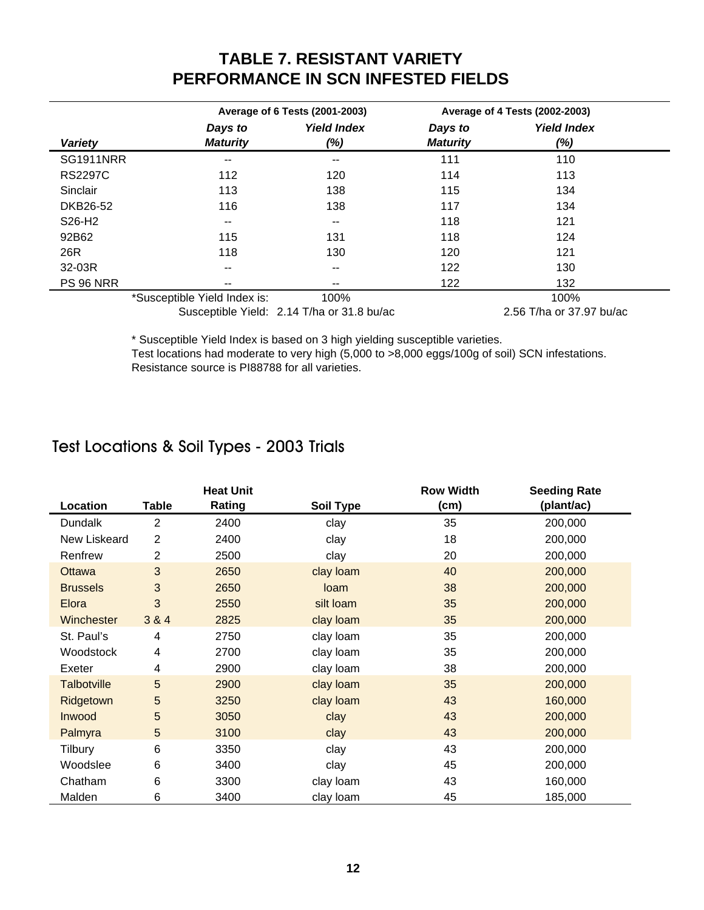# **TABLE 7. RESISTANT VARIETY PERFORMANCE IN SCN INFESTED FIELDS**

|                  |                              | Average of 6 Tests (2001-2003)             |                            | Average of 4 Tests (2002-2003) |  |
|------------------|------------------------------|--------------------------------------------|----------------------------|--------------------------------|--|
| <b>Variety</b>   | Days to<br><b>Maturity</b>   | <b>Yield Index</b><br>(%)                  | Days to<br><b>Maturity</b> | <b>Yield Index</b><br>(%)      |  |
| <b>SG1911NRR</b> | --                           | $\overline{\phantom{m}}$                   | 111                        | 110                            |  |
| <b>RS2297C</b>   | 112                          | 120                                        | 114                        | 113                            |  |
| Sinclair         | 113                          | 138                                        | 115                        | 134                            |  |
| DKB26-52         | 116                          | 138                                        | 117                        | 134                            |  |
| S26-H2           | --                           | $\overline{\phantom{m}}$                   | 118                        | 121                            |  |
| 92B62            | 115                          | 131                                        | 118                        | 124                            |  |
| 26R              | 118                          | 130                                        | 120                        | 121                            |  |
| 32-03R           | $- -$                        | $\overline{\phantom{m}}$                   | 122                        | 130                            |  |
| <b>PS 96 NRR</b> | --                           | $- -$                                      | 122                        | 132                            |  |
|                  | *Susceptible Yield Index is: | 100%                                       |                            | 100%                           |  |
|                  |                              | Susceptible Yield: 2.14 T/ha or 31.8 bu/ac |                            | 2.56 T/ha or 37.97 bu/ac       |  |

\* Susceptible Yield Index is based on 3 high yielding susceptible varieties. Test locations had moderate to very high (5,000 to >8,000 eggs/100g of soil) SCN infestations. Resistance source is PI88788 for all varieties.

# Test Locations & Soil Types - 2003 Trials

|                    |              | <b>Heat Unit</b> |                  | <b>Row Width</b> | <b>Seeding Rate</b> |
|--------------------|--------------|------------------|------------------|------------------|---------------------|
| Location           | <b>Table</b> | Rating           | <b>Soil Type</b> | (cm)             | (plant/ac)          |
| <b>Dundalk</b>     | 2            | 2400             | clay             | 35               | 200,000             |
| New Liskeard       | 2            | 2400             | clay             | 18               | 200,000             |
| Renfrew            | 2            | 2500             | clay             | 20               | 200,000             |
| Ottawa             | 3            | 2650             | clay loam        | 40               | 200,000             |
| <b>Brussels</b>    | 3            | 2650             | loam             | 38               | 200,000             |
| Elora              | 3            | 2550             | silt loam        | 35               | 200,000             |
| Winchester         | 3 & 4        | 2825             | clay loam        | 35               | 200,000             |
| St. Paul's         | 4            | 2750             | clay loam        | 35               | 200,000             |
| Woodstock          | 4            | 2700             | clay loam        | 35               | 200,000             |
| Exeter             | 4            | 2900             | clay loam        | 38               | 200,000             |
| <b>Talbotville</b> | 5            | 2900             | clay loam        | 35               | 200,000             |
| Ridgetown          | 5            | 3250             | clay loam        | 43               | 160,000             |
| Inwood             | 5            | 3050             | clay             | 43               | 200,000             |
| Palmyra            | 5            | 3100             | clay             | 43               | 200,000             |
| Tilbury            | 6            | 3350             | clay             | 43               | 200,000             |
| Woodslee           | 6            | 3400             | clay             | 45               | 200,000             |
| Chatham            | 6            | 3300             | clay loam        | 43               | 160,000             |
| Malden             | 6            | 3400             | clay loam        | 45               | 185,000             |